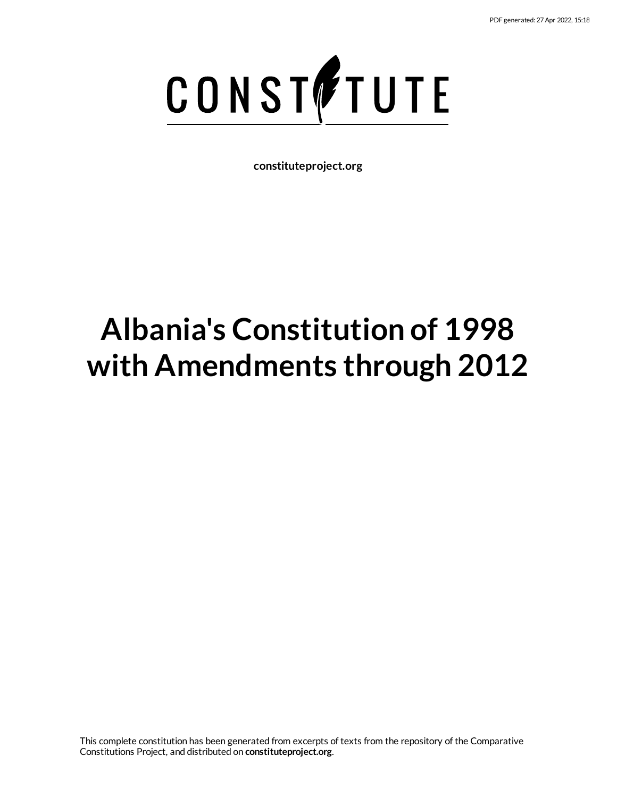

**constituteproject.org**

# **Albania's Constitution of 1998 with Amendments through 2012**

This complete constitution has been generated from excerpts of texts from the repository of the Comparative Constitutions Project, and distributed on **constituteproject.org**.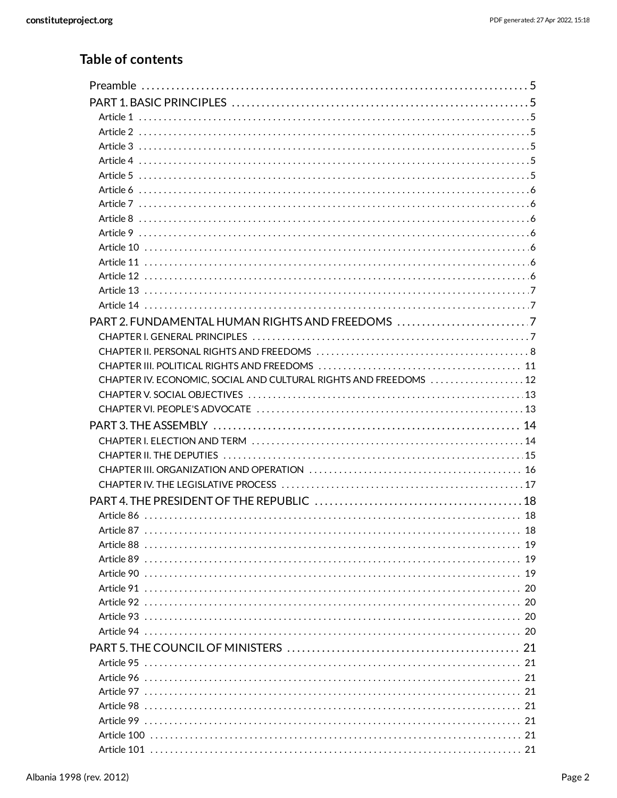## Table of contents

| PART 2. FUNDAMENTAL HUMAN RIGHTS AND FREEDOMS 7                   |  |
|-------------------------------------------------------------------|--|
|                                                                   |  |
|                                                                   |  |
|                                                                   |  |
| CHAPTER IV. ECONOMIC, SOCIAL AND CULTURAL RIGHTS AND FREEDOMS  12 |  |
|                                                                   |  |
|                                                                   |  |
|                                                                   |  |
|                                                                   |  |
|                                                                   |  |
|                                                                   |  |
|                                                                   |  |
|                                                                   |  |
|                                                                   |  |
| Article 87<br>$\sim$ 18                                           |  |
|                                                                   |  |
|                                                                   |  |
|                                                                   |  |
|                                                                   |  |
|                                                                   |  |
|                                                                   |  |
|                                                                   |  |
|                                                                   |  |
|                                                                   |  |
|                                                                   |  |
|                                                                   |  |
|                                                                   |  |
|                                                                   |  |
|                                                                   |  |
|                                                                   |  |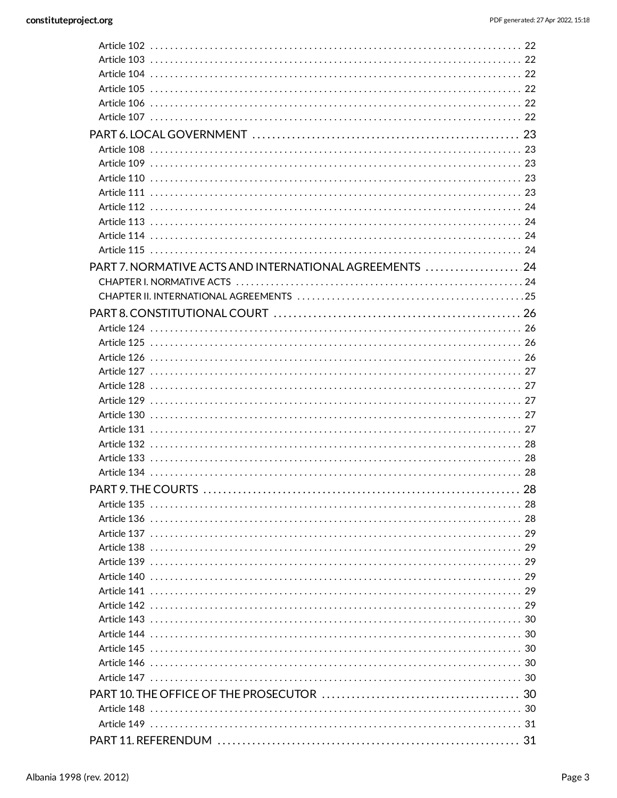| PART 7. NORMATIVE ACTS AND INTERNATIONAL AGREEMENTS 24 |  |
|--------------------------------------------------------|--|
|                                                        |  |
|                                                        |  |
|                                                        |  |
|                                                        |  |
|                                                        |  |
|                                                        |  |
|                                                        |  |
|                                                        |  |
|                                                        |  |
|                                                        |  |
|                                                        |  |
|                                                        |  |
|                                                        |  |
|                                                        |  |
|                                                        |  |
|                                                        |  |
|                                                        |  |
|                                                        |  |
|                                                        |  |
|                                                        |  |
|                                                        |  |
|                                                        |  |
|                                                        |  |
|                                                        |  |
|                                                        |  |
|                                                        |  |
|                                                        |  |
|                                                        |  |
|                                                        |  |
|                                                        |  |
|                                                        |  |
|                                                        |  |
|                                                        |  |
|                                                        |  |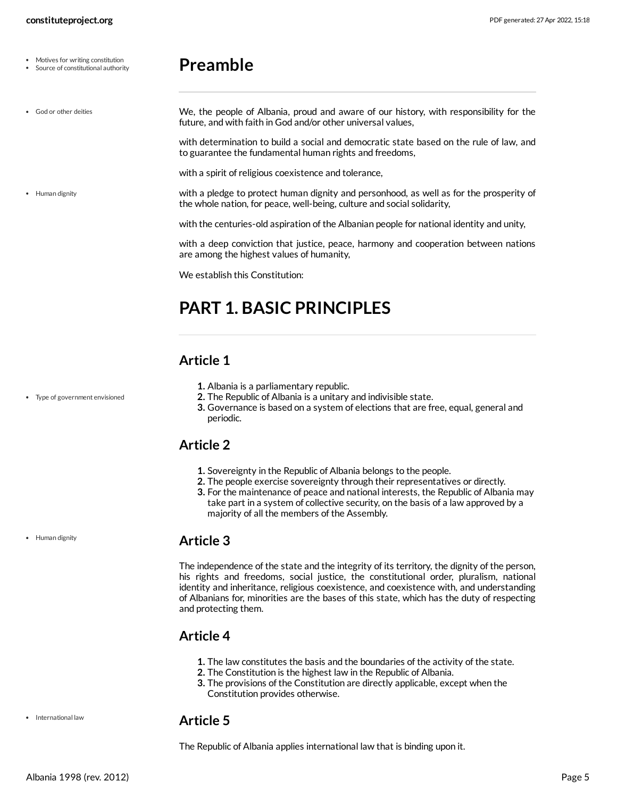Motives for writing constitution Source of constitutional authority

## <span id="page-4-7"></span><span id="page-4-0"></span>**Preamble**

We, the people of Albania, proud and aware of our history, with responsibility for the future, and with faith in God and/or other universal values, with determination to build a social and democratic state based on the rule of law, and to guarantee the fundamental human rights and freedoms, with a spirit of religious coexistence and tolerance, with a pledge to protect human dignity and personhood, as well as for the prosperity of the whole nation, for peace, well-being, culture and social solidarity, with the centuries-old aspiration of the Albanian people for national identity and unity, with a deep conviction that justice, peace, harmony and cooperation between nations are among the highest values of humanity, God or other deities • Human dignity

<span id="page-4-8"></span>We establish this Constitution:

## <span id="page-4-1"></span>**PART 1. BASIC PRINCIPLES**

## <span id="page-4-2"></span>**Article 1**

- **1.** Albania is a parliamentary republic.
	- **2.** The Republic of Albania is a unitary and indivisible state.
	- **3.** Governance is based on a system of elections that are free, equal, general and periodic.

## <span id="page-4-3"></span>**Article 2**

- **1.** Sovereignty in the Republic of Albania belongs to the people.
- **2.** The people exercise sovereignty through their representatives or directly.
- **3.** For the maintenance of peace and national interests, the Republic of Albania may take part in a system of collective security, on the basis of a law approved by a majority of all the members of the Assembly.

#### <span id="page-4-4"></span>**Article 3**

The independence of the state and the integrity of its territory, the dignity of the person, his rights and freedoms, social justice, the constitutional order, pluralism, national identity and inheritance, religious coexistence, and coexistence with, and understanding of Albanians for, minorities are the bases of this state, which has the duty of respecting and protecting them.

## <span id="page-4-5"></span>**Article 4**

- **1.** The law constitutes the basis and the boundaries of the activity of the state.
- **2.** The Constitution is the highest law in the Republic of Albania.
- **3.** The provisions of the Constitution are directly applicable, except when the Constitution provides otherwise.

#### <span id="page-4-6"></span>**Article 5**

The Republic of Albania applies international law that is binding upon it.

Type of government envisioned

• Human dignity

• International law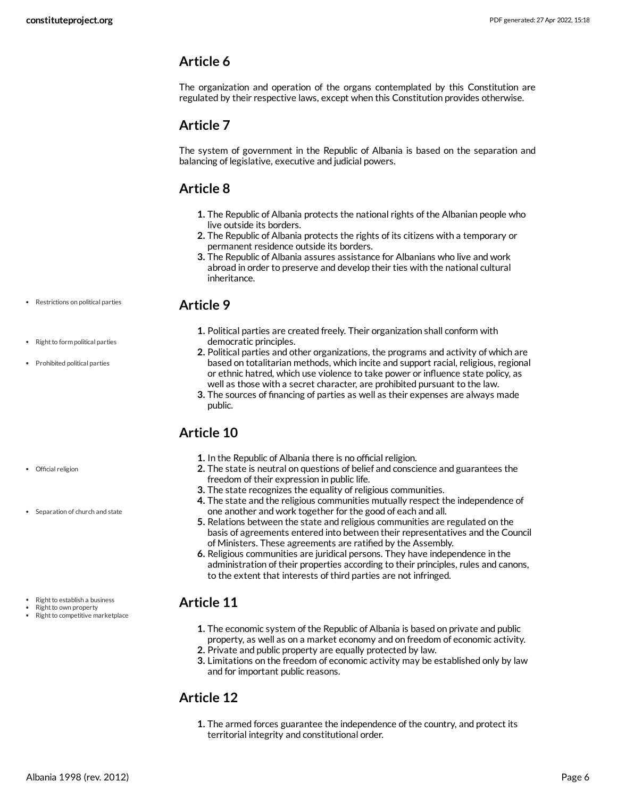<span id="page-5-0"></span>The organization and operation of the organs contemplated by this Constitution are regulated by their respective laws, except when this Constitution provides otherwise.

#### <span id="page-5-1"></span>**Article 7**

The system of government in the Republic of Albania is based on the separation and balancing of legislative, executive and judicial powers.

## <span id="page-5-2"></span>**Article 8**

- **1.** The Republic of Albania protects the national rights of the Albanian people who live outside its borders.
- **2.** The Republic of Albania protects the rights of its citizens with a temporary or permanent residence outside its borders.
- **3.** The Republic of Albania assures assistance for Albanians who live and work abroad in order to preserve and develop their ties with the national cultural inheritance.

#### <span id="page-5-3"></span>**Article 9**

- **1.** Political parties are created freely. Their organization shall conform with democratic principles.
- **2.** Political parties and other organizations, the programs and activity of which are based on totalitarian methods, which incite and support racial, religious, regional or ethnic hatred, which use violence to take power or influence state policy, as well as those with a secret character, are prohibited pursuant to the law.
- **3.** The sources of financing of parties as well as their expenses are always made public.

## <span id="page-5-4"></span>**Article 10**

- **1.** In the Republic of Albania there is no official religion.
- **2.** The state is neutral on questions of belief and conscience and guarantees the freedom of their expression in public life.
- **3.** The state recognizes the equality of religious communities.
- **4.** The state and the religious communities mutually respect the independence of one another and work together for the good of each and all.
- **5.** Relations between the state and religious communities are regulated on the basis of agreements entered into between their representatives and the Council of Ministers. These agreements are ratified by the Assembly.
- **6.** Religious communities are juridical persons. They have independence in the administration of their properties according to their principles, rules and canons, to the extent that interests of third parties are not infringed.

## <span id="page-5-5"></span>**Article 11**

- **1.** The economic system of the Republic of Albania is based on private and public property, as well as on a market economy and on freedom of economic activity.
- **2.** Private and public property are equally protected by law.
- **3.** Limitations on the freedom of economic activity may be established only by law and for important public reasons.

## <span id="page-5-6"></span>**Article 12**

**1.** The armed forces guarantee the independence of the country, and protect its territorial integrity and constitutional order.

- Restrictions on political parties
- Right to form political parties
- Prohibited political parties

• Official religion

- Separation of church and state
- $\bullet$  Right to establish a business
- Right to own property
- Right to competitive marketplace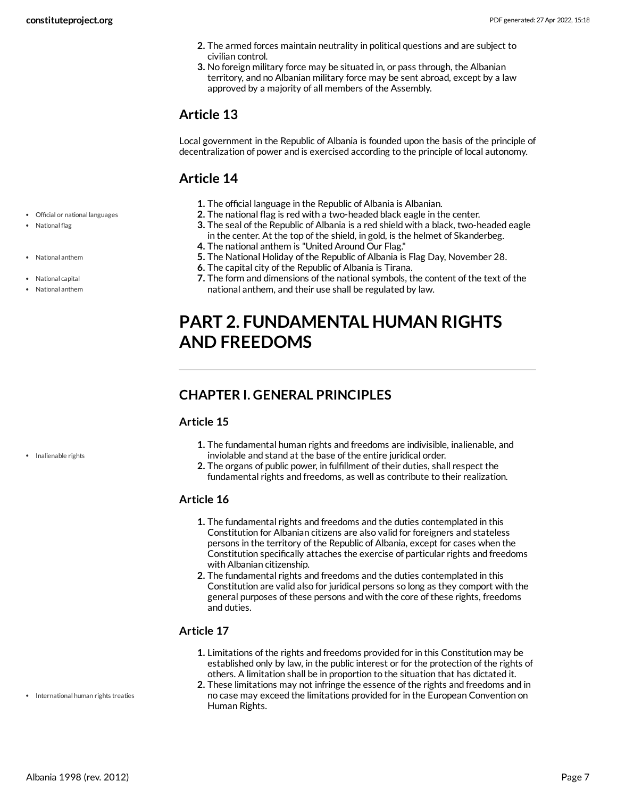- **2.** The armed forces maintain neutrality in political questions and are subject to civilian control.
- **3.** No foreign military force may be situated in, or pass through, the Albanian territory, and no Albanian military force may be sent abroad, except by a law approved by a majority of all members of the Assembly.

<span id="page-6-0"></span>Local government in the Republic of Albania is founded upon the basis of the principle of decentralization of power and is exercised according to the principle of local autonomy.

## <span id="page-6-1"></span>**Article 14**

- **1.** The official language in the Republic of Albania is Albanian.
- **2.** The national flag is red with a two-headed black eagle in the center.
- **3.** The seal of the Republic of Albania is a red shield with a black, two-headed eagle in the center. At the top of the shield, in gold, is the helmet of Skanderbeg.
- **4.** The national anthem is "United Around Our Flag."
- **5.** The National Holiday of the Republic of Albania is Flag Day, November 28.
- **6.** The capital city of the Republic of Albania is Tirana.
- **7.** The form and dimensions of the national symbols, the content of the text of the national anthem, and their use shall be regulated by law.

## <span id="page-6-2"></span>**PART 2. FUNDAMENTAL HUMAN RIGHTS AND FREEDOMS**

## <span id="page-6-3"></span>**CHAPTER I. GENERAL PRINCIPLES**

#### <span id="page-6-5"></span>**Article 15**

- **1.** The fundamental human rights and freedoms are indivisible, inalienable, and inviolable and stand at the base of the entire juridical order.
- **2.** The organs of public power, in fulfillment of their duties, shall respect the fundamental rights and freedoms, as well as contribute to their realization.

#### **Article 16**

- **1.** The fundamental rights and freedoms and the duties contemplated in this Constitution for Albanian citizens are also valid for foreigners and stateless persons in the territory of the Republic of Albania, except for cases when the Constitution specifically attaches the exercise of particular rights and freedoms with Albanian citizenship.
- **2.** The fundamental rights and freedoms and the duties contemplated in this Constitution are valid also for juridical persons so long as they comport with the general purposes of these persons and with the core of these rights, freedoms and duties.

#### <span id="page-6-6"></span>**Article 17**

- **1.** Limitations of the rights and freedoms provided for in this Constitution may be established only by law, in the public interest or for the protection of the rights of others. A limitation shall be in proportion to the situation that has dictated it.
- <span id="page-6-4"></span>**2.** These limitations may not infringe the essence of the rights and freedoms and in no case may exceed the limitations provided for in the European Convention on Human Rights.

Official or national languages

• National flag

National anthem

```
National capital
```
National anthem

• Inalienable rights

• International human rights treaties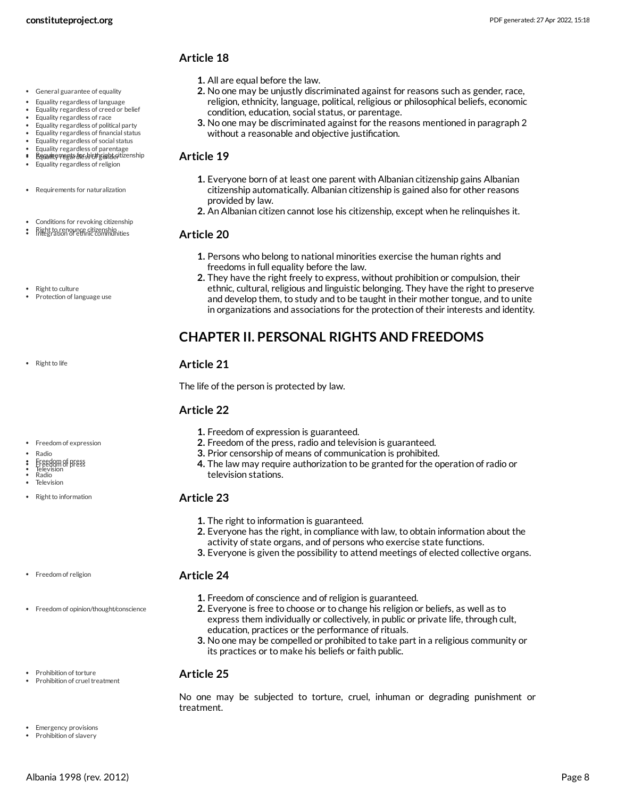- **1.** All are equal before the law.
	- **2.** No one may be unjustly discriminated against for reasons such as gender, race, religion, ethnicity, language, political, religious or philosophical beliefs, economic condition, education, social status, or parentage.
	- **3.** No one may be discriminated against for the reasons mentioned in paragraph 2 without a reasonable and objective justification.

#### <span id="page-7-1"></span>**Article 19**

- **1.** Everyone born of at least one parent with Albanian citizenship gains Albanian citizenship automatically. Albanian citizenship is gained also for other reasons provided by law.
- **2.** An Albanian citizen cannot lose his citizenship, except when he relinquishes it.

#### <span id="page-7-5"></span>**Article 20**

- **1.** Persons who belong to national minorities exercise the human rights and freedoms in full equality before the law.
- **2.** They have the right freely to express, without prohibition or compulsion, their ethnic, cultural, religious and linguistic belonging. They have the right to preserve and develop them, to study and to be taught in their mother tongue, and to unite in organizations and associations for the protection of their interests and identity.

## <span id="page-7-0"></span>**CHAPTER II. PERSONAL RIGHTS AND FREEDOMS**

#### <span id="page-7-8"></span>**Article 21**

The life of the person is protected by law.

#### <span id="page-7-3"></span>**Article 22**

- **1.** Freedom of expression is guaranteed.
- **2.** Freedom of the press, radio and television is guaranteed.
- **3.** Prior censorship of means of communication is prohibited.
- **4.** The law may require authorization to be granted for the operation of radio or television stations.

#### <span id="page-7-7"></span>**Article 23**

- **1.** The right to information is guaranteed.
- **2.** Everyone has the right, in compliance with law, to obtain information about the activity of state organs, and of persons who exercise state functions.
- **3.** Everyone is given the possibility to attend meetings of elected collective organs.

#### <span id="page-7-4"></span>**Article 24**

- **1.** Freedom of conscience and of religion is guaranteed.
- **2.** Everyone is free to choose or to change his religion or beliefs, as well as to express them individually or collectively, in public or private life, through cult, education, practices or the performance of rituals.
- **3.** No one may be compelled or prohibited to take part in a religious community or its practices or to make his beliefs or faith public.

#### <span id="page-7-6"></span>**Article 25**

<span id="page-7-2"></span>No one may be subjected to torture, cruel, inhuman or degrading punishment or treatment.

- General guarantee of equality
- Equality regardless of language
- Equality regardless of creed or belief
- Equality regardless of race Equality regardless of political party
- Equality regardless of financial status
- Equality regardless of social status
- Equality regardless of parentage
- Requirements hessich gishteitizenship Equality regardless of religion
- Requirements for naturalization
- Conditions for revoking citizenship
- Rightto renounce citizenship Integration of ethnic communities
- Right to culture
- Protection of language use

• Right to life

- Freedom of expression
- Radio  $\bullet$
- Freedom of press Freedom of press Television
- Radio
- Television
- Right to information

Freedom of opinion/thought/conscience

• Freedom of religion

- Prohibition of torture Prohibition of cruel treatment
- Emergency provisions Prohibition of slavery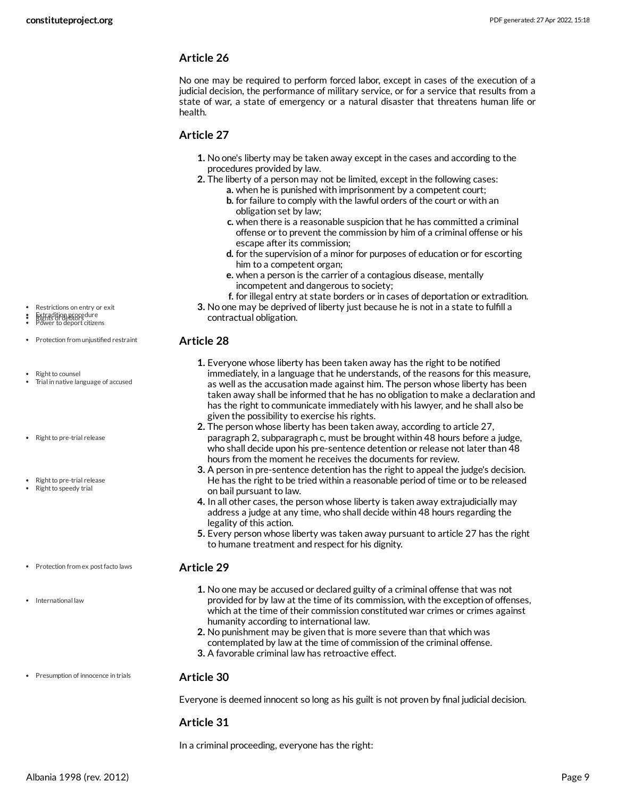Restrictions on entry or exit Extradition procedure Power to deport citizens Rights of debtors

Right to counsel

• Right to pre-trial release

• Right to pre-trial release Right to speedy trial

• Protection from unjustified restraint

Trial in native language of accused

#### **Article 26**

No one may be required to perform forced labor, except in cases of the execution of a judicial decision, the performance of military service, or for a service that results from a state of war, a state of emergency or a natural disaster that threatens human life or health.

#### <span id="page-8-0"></span>**Article 27**

- **1.** No one's liberty may be taken away except in the cases and according to the procedures provided by law.
- **2.** The liberty of a person may not be limited, except in the following cases: **a.** when he is punished with imprisonment by a competent court;
	- **b.** for failure to comply with the lawful orders of the court or with an obligation set by law;
	- **c.** when there is a reasonable suspicion that he has committed a criminal offense or to prevent the commission by him of a criminal offense or his escape after its commission;
	- **d.** for the supervision of a minor for purposes of education or for escorting him to a competent organ;
	- **e.** when a person is the carrier of a contagious disease, mentally incompetent and dangerous to society;
	- **f.** for illegal entry at state borders or in cases of deportation or extradition.
- **3.** No one may be deprived of liberty just because he is not in a state to fulfill a contractual obligation.

#### <span id="page-8-3"></span>**Article 28**

- **1.** Everyone whose liberty has been taken away has the right to be notified immediately, in a language that he understands, of the reasons for this measure, as well as the accusation made against him. The person whose liberty has been taken away shall be informed that he has no obligation to make a declaration and has the right to communicate immediately with his lawyer, and he shall also be given the possibility to exercise his rights.
- **2.** The person whose liberty has been taken away, according to article 27, paragraph 2, subparagraph c, must be brought within 48 hours before a judge, who shall decide upon his pre-sentence detention or release not later than 48 hours from the moment he receives the documents for review.
- **3.** A person in pre-sentence detention has the right to appeal the judge's decision. He has the right to be tried within a reasonable period of time or to be released on bail pursuant to law.
- **4.** In all other cases, the person whose liberty is taken away extrajudicially may address a judge at any time, who shall decide within 48 hours regarding the legality of this action.
- **5.** Every person whose liberty was taken away pursuant to article 27 has the right to humane treatment and respect for his dignity.
- Protection from ex post facto laws
- International law

#### <span id="page-8-1"></span>**Article 29**

- **1.** No one may be accused or declared guilty of a criminal offense that was not provided for by law at the time of its commission, with the exception of offenses, which at the time of their commission constituted war crimes or crimes against humanity according to international law.
- **2.** No punishment may be given that is more severe than that which was contemplated by law at the time of commission of the criminal offense.
- **3.** A favorable criminal law has retroactive effect.
- Presumption of innocence in trials

Everyone is deemed innocent so long as his guilt is not proven by final judicial decision.

#### **Article 31**

<span id="page-8-2"></span>**Article 30**

<span id="page-8-4"></span>In a criminal proceeding, everyone has the right: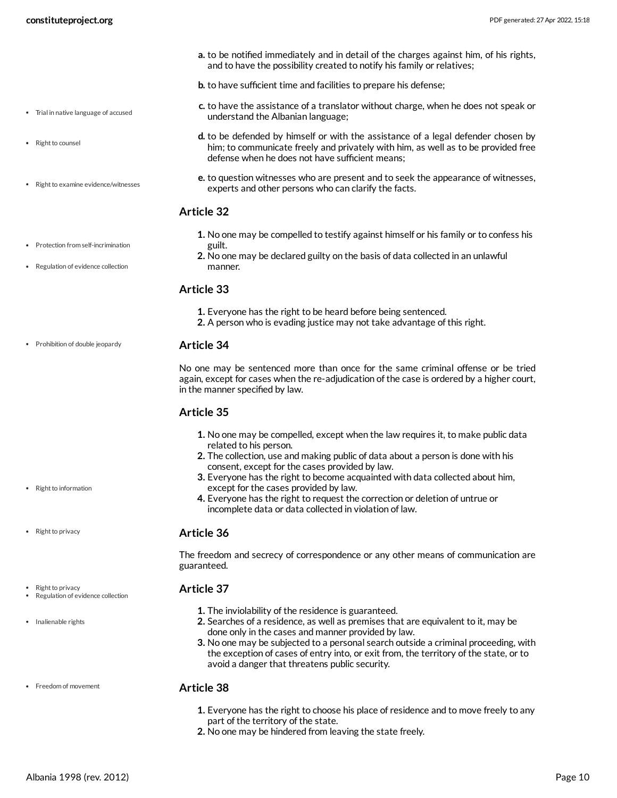**a.** to be notified immediately and in detail of the charges against him, of his rights, and to have the possibility created to notify his family or relatives;

**b.** to have sufficient time and facilities to prepare his defense;

- **c.** to have the assistance of a translator without charge, when he does not speak or understand the Albanian language;
- **d.** to be defended by himself or with the assistance of a legal defender chosen by him; to communicate freely and privately with him, as well as to be provided free defense when he does not have sufficient means;
- **e.** to question witnesses who are present and to seek the appearance of witnesses, experts and other persons who can clarify the facts.

#### <span id="page-9-3"></span>**Article 32**

- **1.** No one may be compelled to testify against himself or his family or to confess his guilt.
- **2.** No one may be declared guilty on the basis of data collected in an unlawful manner.

#### **Article 33**

- **1.** Everyone has the right to be heard before being sentenced.
- **2.** A person who is evading justice may not take advantage of this right.

#### **Article 34**

<span id="page-9-2"></span>No one may be sentenced more than once for the same criminal offense or be tried again, except for cases when the re-adjudication of the case is ordered by a higher court, in the manner specified by law.

#### <span id="page-9-4"></span>**Article 35**

- **1.** No one may be compelled, except when the law requires it, to make public data related to his person.
- **2.** The collection, use and making public of data about a person is done with his consent, except for the cases provided by law.
- **3.** Everyone has the right to become acquainted with data collected about him, except for the cases provided by law.
- **4.** Everyone has the right to request the correction or deletion of untrue or incomplete data or data collected in violation of law.

#### <span id="page-9-5"></span>**Article 36**

The freedom and secrecy of correspondence or any other means of communication are guaranteed.

#### <span id="page-9-1"></span>**Article 37**

- **1.** The inviolability of the residence is guaranteed.
- **2.** Searches of a residence, as well as premises that are equivalent to it, may be done only in the cases and manner provided by law.
- **3.** No one may be subjected to a personal search outside a criminal proceeding, with the exception of cases of entry into, or exit from, the territory of the state, or to avoid a danger that threatens public security.

#### <span id="page-9-0"></span>**Article 38**

- **1.** Everyone has the right to choose his place of residence and to move freely to any part of the territory of the state.
- **2.** No one may be hindered from leaving the state freely.
- Trial in native language of accused
- Right to counsel
- Right to examine evidence/witnesses
- Protection from self-incrimination • Regulation of evidence collection
- Prohibition of double jeopardy

- Right to information
- Right to privacy
- 

Right to privacy Regulation of evidence collection

• Inalienable rights

• Freedom of movement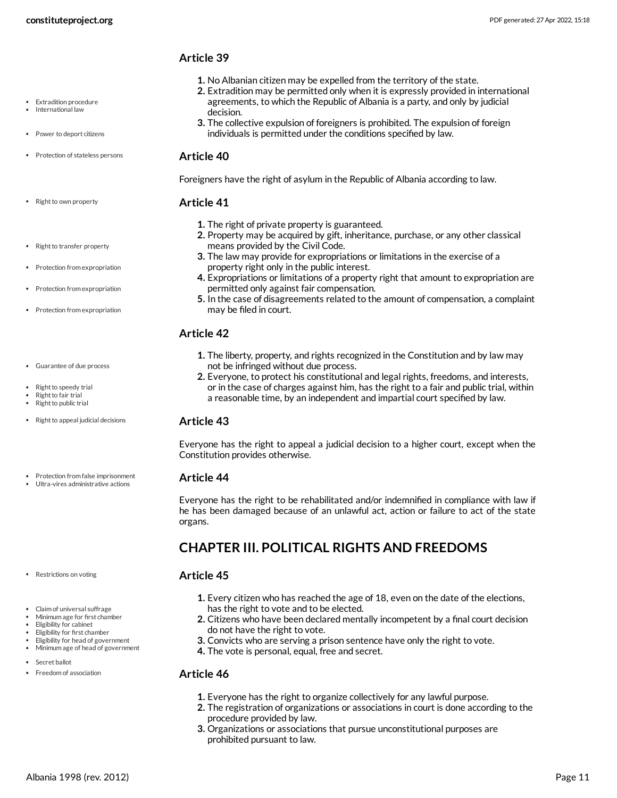Extradition procedure International law

• Power to deport citizens

• Protection of stateless persons

#### <span id="page-10-2"></span>**Article 39**

- **1.** No Albanian citizen may be expelled from the territory of the state.
- **2.** Extradition may be permitted only when it is expressly provided in international agreements, to which the Republic of Albania is a party, and only by judicial decision.
- **3.** The collective expulsion of foreigners is prohibited. The expulsion of foreign individuals is permitted under the conditions specified by law.

#### **Article 40**

<span id="page-10-7"></span>Foreigners have the right of asylum in the Republic of Albania according to law.

#### <span id="page-10-5"></span>**Article 41**

- **1.** The right of private property is guaranteed.
- **2.** Property may be acquired by gift, inheritance, purchase, or any other classical means provided by the Civil Code.
- **3.** The law may provide for expropriations or limitations in the exercise of a property right only in the public interest.
- **4.** Expropriations or limitations of a property right that amount to expropriation are permitted only against fair compensation.
- **5.** In the case of disagreements related to the amount of compensation, a complaint may be filed in court.

#### <span id="page-10-4"></span>**Article 42**

- **1.** The liberty, property, and rights recognized in the Constitution and by law may not be infringed without due process.
- **2.** Everyone, to protect his constitutional and legal rights, freedoms, and interests, or in the case of charges against him, has the right to a fair and public trial, within a reasonable time, by an independent and impartial court specified by law.

#### <span id="page-10-8"></span>**Article 43**

Everyone has the right to appeal a judicial decision to a higher court, except when the Constitution provides otherwise.

#### <span id="page-10-6"></span>**Article 44**

Everyone has the right to be rehabilitated and/or indemnified in compliance with law if he has been damaged because of an unlawful act, action or failure to act of the state organs.

## <span id="page-10-0"></span>**CHAPTER III. POLITICAL RIGHTS AND FREEDOMS**

#### <span id="page-10-1"></span>**Article 45**

- **1.** Every citizen who has reached the age of 18, even on the date of the elections, has the right to vote and to be elected.
- **2.** Citizens who have been declared mentally incompetent by a final court decision do not have the right to vote.
- **3.** Convicts who are serving a prison sentence have only the right to vote.
- **4.** The vote is personal, equal, free and secret.

#### <span id="page-10-3"></span>**Article 46**

- **1.** Everyone has the right to organize collectively for any lawful purpose.
- **2.** The registration of organizations or associations in court is done according to the procedure provided by law.
- **3.** Organizations or associations that pursue unconstitutional purposes are prohibited pursuant to law.

• Right to transfer property

• Right to own property

- Protection from expropriation
- Protection from expropriation
- Protection from expropriation
- Guarantee of due process
- Right to speedy trial
- Right to fair trial Right to public trial
- Right to appeal judicial decisions
- Ultra-vires administrative actions

Protection from false imprisonment

- Restrictions on voting
- Claim of universal suffrage
- Minimum age for first chamber Eligibility for cabinet
- Eligibility for first chamber
- Eligibility for head of government
- Minimum age of head of government
- Secret ballot
- Freedom of association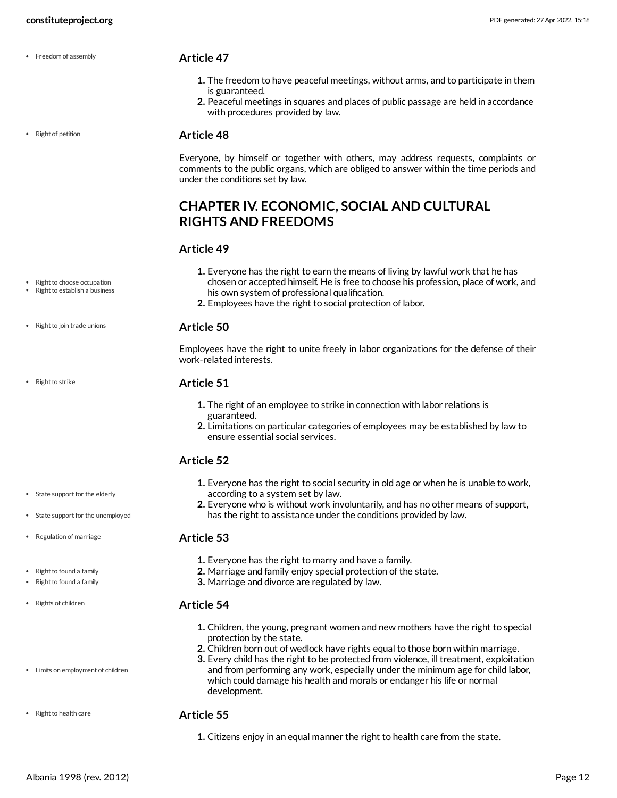• Freedom of assembly

#### • Right of petition

## <span id="page-11-1"></span>**Article 47**

- **1.** The freedom to have peaceful meetings, without arms, and to participate in them is guaranteed.
- **2.** Peaceful meetings in squares and places of public passage are held in accordance with procedures provided by law.

#### <span id="page-11-4"></span>**Article 48**

Everyone, by himself or together with others, may address requests, complaints or comments to the public organs, which are obliged to answer within the time periods and under the conditions set by law.

### <span id="page-11-0"></span>**CHAPTER IV. ECONOMIC, SOCIAL AND CULTURAL RIGHTS AND FREEDOMS**

#### <span id="page-11-5"></span>**Article 49**

- **1.** Everyone has the right to earn the means of living by lawful work that he has chosen or accepted himself. He is free to choose his profession, place of work, and his own system of professional qualification.
	- **2.** Employees have the right to social protection of labor.

#### <span id="page-11-7"></span>**Article 50**

Employees have the right to unite freely in labor organizations for the defense of their work-related interests.

#### <span id="page-11-8"></span>**Article 51**

- **1.** The right of an employee to strike in connection with labor relations is guaranteed.
- **2.** Limitations on particular categories of employees may be established by law to ensure essential social services.

#### <span id="page-11-9"></span>**Article 52**

- **1.** Everyone has the right to social security in old age or when he is unable to work, according to a system set by law.
- **2.** Everyone who is without work involuntarily, and has no other means of support, has the right to assistance under the conditions provided by law.

#### <span id="page-11-3"></span>**Article 53**

- **1.** Everyone has the right to marry and have a family.
- **2.** Marriage and family enjoy special protection of the state.
- **3.** Marriage and divorce are regulated by law.

#### <span id="page-11-2"></span>**Article 54**

- **1.** Children, the young, pregnant women and new mothers have the right to special protection by the state.
- **2.** Children born out of wedlock have rights equal to those born within marriage.
- **3.** Every child has the right to be protected from violence, ill treatment, exploitation and from performing any work, especially under the minimum age for child labor, which could damage his health and morals or endanger his life or normal development.

#### <span id="page-11-6"></span>**Article 55**

**1.** Citizens enjoy in an equal manner the right to health care from the state.

• Right to join trade unions

Right to choose occupation Right to establish a business

 $\cdot$  Right to strike

- State support for the elderly
- State support for the unemployed
- Regulation of marriage
- Right to found a family
- Right to found a family
- 
- Limits on employment of children
- 
- 
- Rights of children
- 
- Right to health care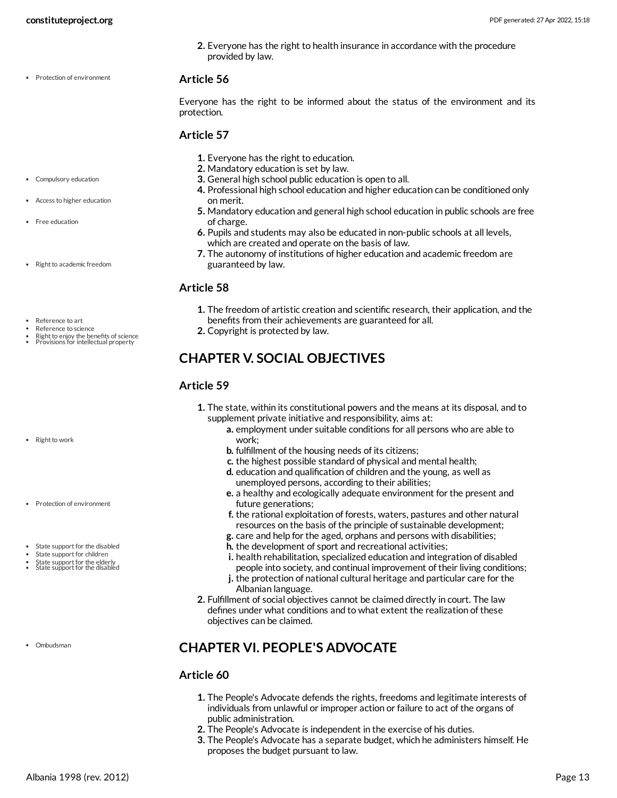**2.** Everyone has the right to health insurance in accordance with the procedure provided by law.

#### • Protection of environment

#### <span id="page-12-3"></span>**Article 56**

Everyone has the right to be informed about the status of the environment and its protection.

#### <span id="page-12-2"></span>**Article 57**

- **1.** Everyone has the right to education.
- **2.** Mandatory education is set by law.
- **3.** General high school public education is open to all.
- **4.** Professional high school education and higher education can be conditioned only on merit.
- **5.** Mandatory education and general high school education in public schools are free of charge.
- **6.** Pupils and students may also be educated in non-public schools at all levels, which are created and operate on the basis of law.
- **7.** The autonomy of institutions of higher education and academic freedom are guaranteed by law.

#### <span id="page-12-4"></span>**Article 58**

- **1.** The freedom of artistic creation and scientific research, their application, and the benefits from their achievements are guaranteed for all.
- **2.** Copyright is protected by law.

#### <span id="page-12-0"></span>**CHAPTER V. SOCIAL OBJECTIVES**

#### <span id="page-12-5"></span>**Article 59**

- **1.** The state, within its constitutional powers and the means at its disposal, and to supplement private initiative and responsibility, aims at:
	- **a.** employment under suitable conditions for all persons who are able to work;
	- **b.** fulfillment of the housing needs of its citizens;
	- **c.** the highest possible standard of physical and mental health;
	- **d.** education and qualification of children and the young, as well as unemployed persons, according to their abilities;
	- **e.** a healthy and ecologically adequate environment for the present and future generations;
	- **f.** the rational exploitation of forests, waters, pastures and other natural resources on the basis of the principle of sustainable development;
	- **g.** care and help for the aged, orphans and persons with disabilities;
	- **h.** the development of sport and recreational activities;
	- **i.** health rehabilitation, specialized education and integration of disabled people into society, and continual improvement of their living conditions;
	- **j.** the protection of national cultural heritage and particular care for the Albanian language.
- **2.** Fulfillment of social objectives cannot be claimed directly in court. The law defines under what conditions and to what extent the realization of these objectives can be claimed.

## <span id="page-12-1"></span>**CHAPTER VI. PEOPLE'S ADVOCATE**

#### **Article 60**

- **1.** The People's Advocate defends the rights, freedoms and legitimate interests of individuals from unlawful or improper action or failure to act of the organs of public administration.
- **2.** The People's Advocate is independent in the exercise of his duties.
- **3.** The People's Advocate has a separate budget, which he administers himself. He proposes the budget pursuant to law.
- Compulsory education
- Access to higher education
- Free education
- Right to academic freedom
- Reference to art
- Reference to science
- Right to enjoy the benefits of science<br>Provisions for intellectual property
- 

- Right to work
- Protection of environment
- State support for the disabled
- State support for children
- State support for the elderly<br>State support for the disabled
- Ombudsman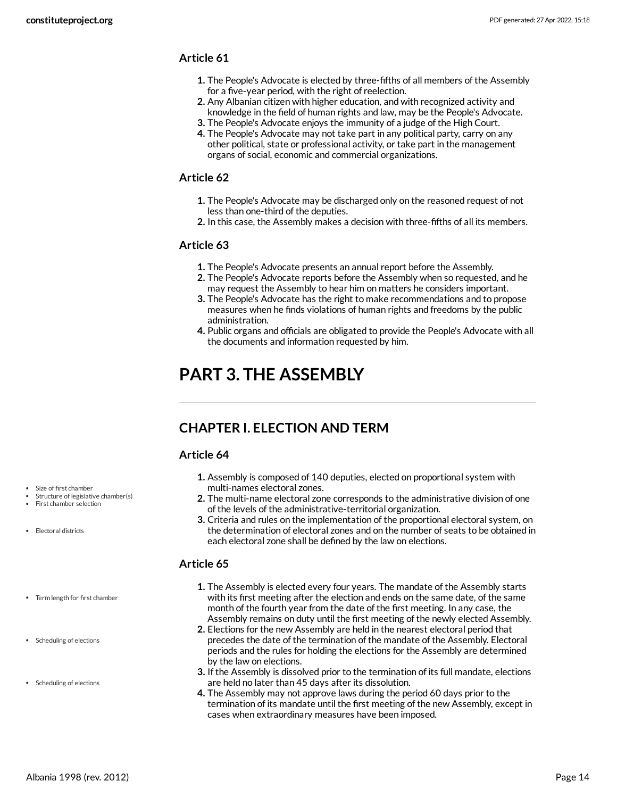- **1.** The People's Advocate is elected by three-fifths of all members of the Assembly for a five-year period, with the right of reelection.
- **2.** Any Albanian citizen with higher education, and with recognized activity and knowledge in the field of human rights and law, may be the People's Advocate.
- **3.** The People's Advocate enjoys the immunity of a judge of the High Court.
- **4.** The People's Advocate may not take part in any political party, carry on any other political, state or professional activity, or take part in the management organs of social, economic and commercial organizations.

#### **Article 62**

- **1.** The People's Advocate may be discharged only on the reasoned request of not less than one-third of the deputies.
- **2.** In this case, the Assembly makes a decision with three-fifths of all its members.

#### **Article 63**

- **1.** The People's Advocate presents an annual report before the Assembly.
- **2.** The People's Advocate reports before the Assembly when so requested, and he may request the Assembly to hear him on matters he considers important.
- **3.** The People's Advocate has the right to make recommendations and to propose measures when he finds violations of human rights and freedoms by the public administration.
- **4.** Public organs and officials are obligated to provide the People's Advocate with all the documents and information requested by him.

## <span id="page-13-0"></span>**PART 3. THE ASSEMBLY**

## <span id="page-13-1"></span>**CHAPTER I. ELECTION AND TERM**

#### <span id="page-13-2"></span>**Article 64**

- **1.** Assembly is composed of 140 deputies, elected on proportional system with multi-names electoral zones.
- **2.** The multi-name electoral zone corresponds to the administrative division of one of the levels of the administrative-territorial organization.
- **3.** Criteria and rules on the implementation of the proportional electoral system, on the determination of electoral zones and on the number of seats to be obtained in each electoral zone shall be defined by the law on elections.

#### <span id="page-13-3"></span>**Article 65**

- **1.** The Assembly is elected every four years. The mandate of the Assembly starts with its first meeting after the election and ends on the same date, of the same month of the fourth year from the date of the first meeting. In any case, the Assembly remains on duty until the first meeting of the newly elected Assembly.
- **2.** Elections for the new Assembly are held in the nearest electoral period that precedes the date of the termination of the mandate of the Assembly. Electoral periods and the rules for holding the elections for the Assembly are determined by the law on elections.
- **3.** If the Assembly is dissolved prior to the termination of its full mandate, elections are held no later than 45 days after its dissolution.
- **4.** The Assembly may not approve laws during the period 60 days prior to the termination of its mandate until the first meeting of the new Assembly, except in cases when extraordinary measures have been imposed.

Size of first chamber

- Structure of legislative chamber(s)
- First chamber selection

Electoral districts

- Term length for first chamber
- Scheduling of elections
- Scheduling of elections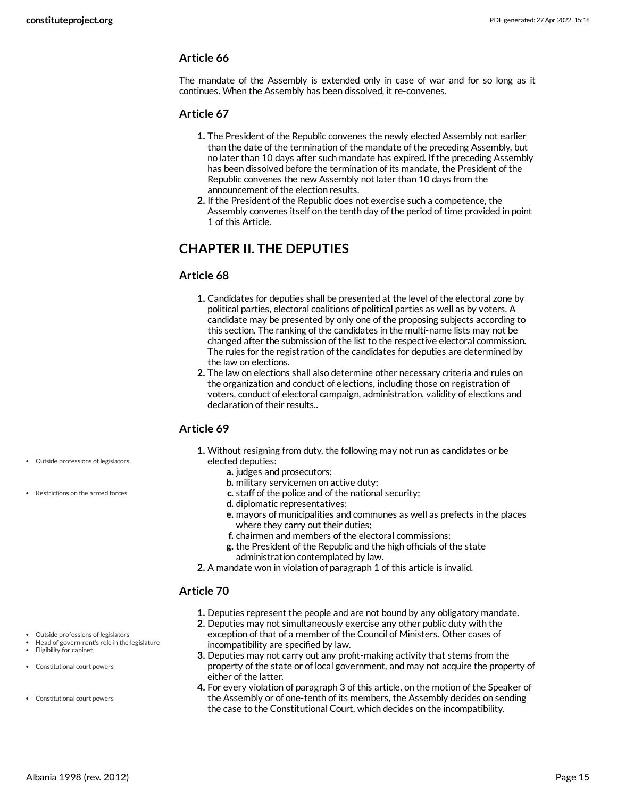The mandate of the Assembly is extended only in case of war and for so long as it continues. When the Assembly has been dissolved, it re-convenes.

#### **Article 67**

- **1.** The President of the Republic convenes the newly elected Assembly not earlier than the date of the termination of the mandate of the preceding Assembly, but no later than 10 days after such mandate has expired. If the preceding Assembly has been dissolved before the termination of its mandate, the President of the Republic convenes the new Assembly not later than 10 days from the announcement of the election results.
- **2.** If the President of the Republic does not exercise such a competence, the Assembly convenes itself on the tenth day of the period of time provided in point 1 of this Article.

#### <span id="page-14-0"></span>**CHAPTER II. THE DEPUTIES**

#### **Article 68**

- **1.** Candidates for deputies shall be presented at the level of the electoral zone by political parties, electoral coalitions of political parties as well as by voters. A candidate may be presented by only one of the proposing subjects according to this section. The ranking of the candidates in the multi-name lists may not be changed after the submission of the list to the respective electoral commission. The rules for the registration of the candidates for deputies are determined by the law on elections.
- **2.** The law on elections shall also determine other necessary criteria and rules on the organization and conduct of elections, including those on registration of voters, conduct of electoral campaign, administration, validity of elections and declaration of their results..

#### <span id="page-14-3"></span>**Article 69**

- **1.** Without resigning from duty, the following may not run as candidates or be elected deputies:
	- **a.** judges and prosecutors;
	- **b.** military servicemen on active duty;
	- **c.** staff of the police and of the national security;
	- **d.** diplomatic representatives;
	- **e.** mayors of municipalities and communes as well as prefects in the places where they carry out their duties;
	- **f.** chairmen and members of the electoral commissions;
	- **g.** the President of the Republic and the high officials of the state administration contemplated by law.
- **2.** A mandate won in violation of paragraph 1 of this article is invalid.

#### <span id="page-14-2"></span>**Article 70**

- **1.** Deputies represent the people and are not bound by any obligatory mandate.
- **2.** Deputies may not simultaneously exercise any other public duty with the exception of that of a member of the Council of Ministers. Other cases of incompatibility are specified by law.
- **3.** Deputies may not carry out any profit-making activity that stems from the property of the state or of local government, and may not acquire the property of either of the latter.
- <span id="page-14-1"></span>**4.** For every violation of paragraph 3 of this article, on the motion of the Speaker of the Assembly or of one-tenth of its members, the Assembly decides on sending the case to the Constitutional Court, which decides on the incompatibility.
- Outside professions of legislators
- Restrictions on the armed forces

Outside professions of legislators Head of government's role in the legislature

Constitutional court powers

Eligibility for cabinet Constitutional court powers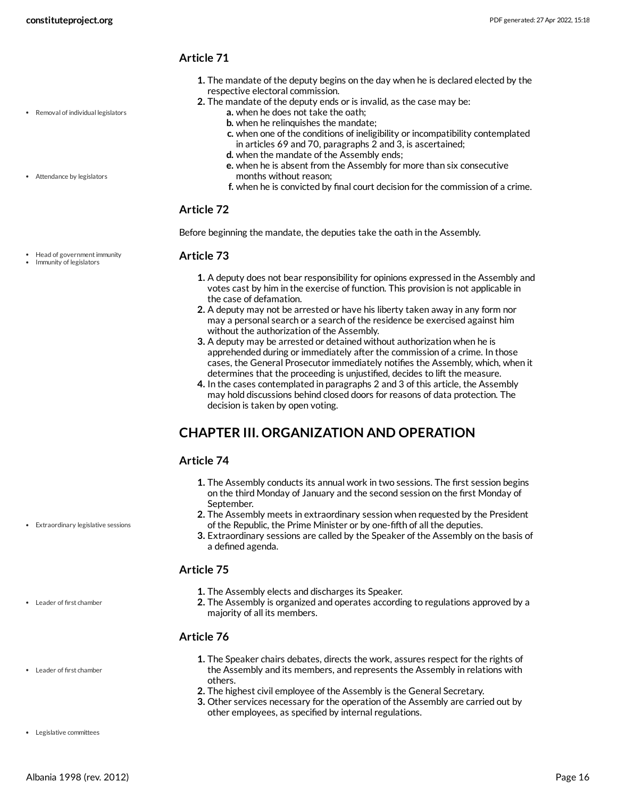Removal of individual legislators

• Attendance by legislators

#### **Article 71**

- **1.** The mandate of the deputy begins on the day when he is declared elected by the respective electoral commission.
- **2.** The mandate of the deputy ends or is invalid, as the case may be:
	- **a.** when he does not take the oath;
	- **b.** when he relinquishes the mandate;
	- **c.** when one of the conditions of ineligibility or incompatibility contemplated in articles 69 and 70, paragraphs 2 and 3, is ascertained;
	- **d.** when the mandate of the Assembly ends;
	- **e.** when he is absent from the Assembly for more than six consecutive months without reason;
	- **f.** when he is convicted by final court decision for the commission of a crime.

#### **Article 72**

Before beginning the mandate, the deputies take the oath in the Assembly.

#### <span id="page-15-2"></span>**Article 73**

- **1.** A deputy does not bear responsibility for opinions expressed in the Assembly and votes cast by him in the exercise of function. This provision is not applicable in the case of defamation.
- **2.** A deputy may not be arrested or have his liberty taken away in any form nor may a personal search or a search of the residence be exercised against him without the authorization of the Assembly.
- **3.** A deputy may be arrested or detained without authorization when he is apprehended during or immediately after the commission of a crime. In those cases, the General Prosecutor immediately notifies the Assembly, which, when it determines that the proceeding is unjustified, decides to lift the measure.
- **4.** In the cases contemplated in paragraphs 2 and 3 of this article, the Assembly may hold discussions behind closed doors for reasons of data protection. The decision is taken by open voting.

## <span id="page-15-0"></span>**CHAPTER III. ORGANIZATION AND OPERATION**

#### <span id="page-15-1"></span>**Article 74**

- **1.** The Assembly conducts its annual work in two sessions. The first session begins on the third Monday of January and the second session on the first Monday of September.
- **2.** The Assembly meets in extraordinary session when requested by the President of the Republic, the Prime Minister or by one-fifth of all the deputies.
- **3.** Extraordinary sessions are called by the Speaker of the Assembly on the basis of a defined agenda.

#### <span id="page-15-3"></span>**Article 75**

- **1.** The Assembly elects and discharges its Speaker.
- **2.** The Assembly is organized and operates according to regulations approved by a majority of all its members.

#### **Article 76**

- **1.** The Speaker chairs debates, directs the work, assures respect for the rights of the Assembly and its members, and represents the Assembly in relations with others.
- **2.** The highest civil employee of the Assembly is the General Secretary.
- <span id="page-15-4"></span>**3.** Other services necessary for the operation of the Assembly are carried out by other employees, as specified by internal regulations.

Head of government immunity • Immunity of legislators

Extraordinary legislative sessions

Leader of first chamber

Leader of first chamber

Legislative committees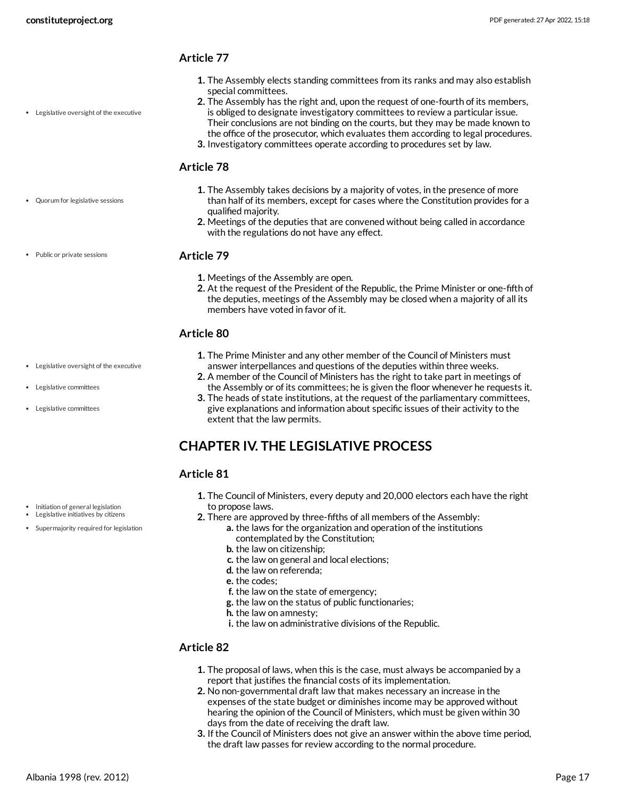Legislative oversight of the executive

#### **Article 77**

- **1.** The Assembly elects standing committees from its ranks and may also establish special committees.
- **2.** The Assembly has the right and, upon the request of one-fourth of its members, is obliged to designate investigatory committees to review a particular issue.
- Their conclusions are not binding on the courts, but they may be made known to the office of the prosecutor, which evaluates them according to legal procedures.
- **3.** Investigatory committees operate according to procedures set by law.

#### <span id="page-16-4"></span>**Article 78**

- **1.** The Assembly takes decisions by a majority of votes, in the presence of more than half of its members, except for cases where the Constitution provides for a qualified majority.
- **2.** Meetings of the deputies that are convened without being called in accordance with the regulations do not have any effect.

#### Public or private sessions

Legislative oversight of the executive

Legislative committees

Legislative committees

Quorum for legislative sessions

#### <span id="page-16-3"></span>**Article 79**

- **1.** Meetings of the Assembly are open.
- **2.** At the request of the President of the Republic, the Prime Minister or one-fifth of the deputies, meetings of the Assembly may be closed when a majority of all its members have voted in favor of it.

#### <span id="page-16-2"></span>**Article 80**

- **1.** The Prime Minister and any other member of the Council of Ministers must answer interpellances and questions of the deputies within three weeks.
- **2.** A member of the Council of Ministers has the right to take part in meetings of the Assembly or of its committees; he is given the floor whenever he requests it.
- **3.** The heads of state institutions, at the request of the parliamentary committees, give explanations and information about specific issues of their activity to the extent that the law permits.

## <span id="page-16-0"></span>**CHAPTER IV. THE LEGISLATIVE PROCESS**

#### <span id="page-16-1"></span>**Article 81**

- **1.** The Council of Ministers, every deputy and 20,000 electors each have the right to propose laws.
- **2.** There are approved by three-fifths of all members of the Assembly:
	- **a.** the laws for the organization and operation of the institutions contemplated by the Constitution;
	- **b.** the law on citizenship;
	- **c.** the law on general and local elections;
	- **d.** the law on referenda;
	- **e.** the codes;
	- **f.** the law on the state of emergency;
	- **g.** the law on the status of public functionaries;
	- **h.** the law on amnesty;
	- **i.** the law on administrative divisions of the Republic.

#### **Article 82**

- **1.** The proposal of laws, when this is the case, must always be accompanied by a report that justifies the financial costs of its implementation.
- **2.** No non-governmental draft law that makes necessary an increase in the expenses of the state budget or diminishes income may be approved without hearing the opinion of the Council of Ministers, which must be given within 30 days from the date of receiving the draft law.
- **3.** If the Council of Ministers does not give an answer within the above time period, the draft law passes for review according to the normal procedure.
- Initiation of general legislation Legislative initiatives by citizens
- Supermajority required for legislation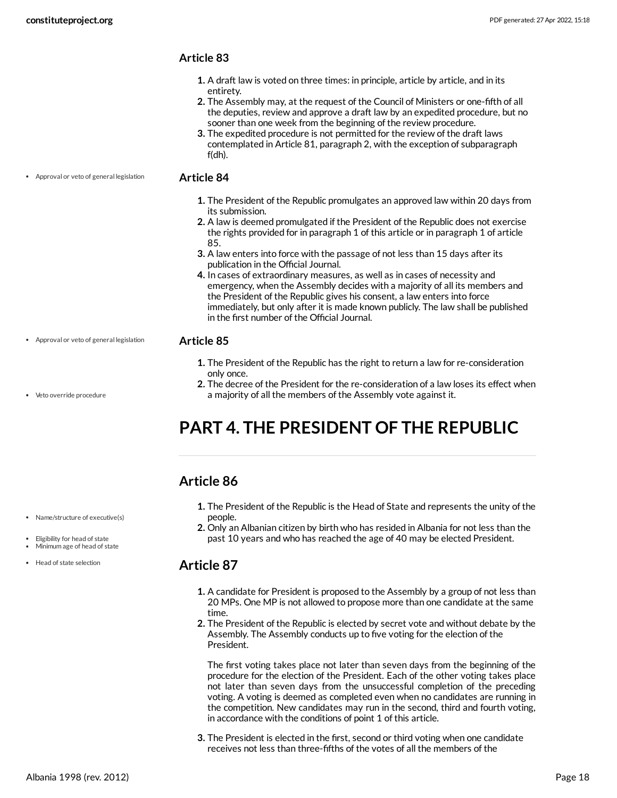- **1.** A draft law is voted on three times: in principle, article by article, and in its entirety.
- **2.** The Assembly may, at the request of the Council of Ministers or one-fifth of all the deputies, review and approve a draft law by an expedited procedure, but no sooner than one week from the beginning of the review procedure.
- **3.** The expedited procedure is not permitted for the review of the draft laws contemplated in Article 81, paragraph 2, with the exception of subparagraph f(dh).

Approval or veto of general legislation

#### <span id="page-17-3"></span>**Article 84**

- **1.** The President of the Republic promulgates an approved law within 20 days from its submission.
- **2.** A law is deemed promulgated if the President of the Republic does not exercise the rights provided for in paragraph 1 of this article or in paragraph 1 of article 85.
- **3.** A law enters into force with the passage of not less than 15 days after its publication in the Official Journal.
- **4.** In cases of extraordinary measures, as well as in cases of necessity and emergency, when the Assembly decides with a majority of all its members and the President of the Republic gives his consent, a law enters into force immediately, but only after it is made known publicly. The law shall be published in the first number of the Official Journal.

#### <span id="page-17-4"></span>**Article 85**

- **1.** The President of the Republic has the right to return a law for re-consideration only once.
- **2.** The decree of the President for the re-consideration of a law loses its effect when a majority of all the members of the Assembly vote against it.

## <span id="page-17-0"></span>**PART 4. THE PRESIDENT OF THE REPUBLIC**

## <span id="page-17-1"></span>**Article 86**

- **1.** The President of the Republic is the Head of State and represents the unity of the people.
- **2.** Only an Albanian citizen by birth who has resided in Albania for not less than the past 10 years and who has reached the age of 40 may be elected President.

#### <span id="page-17-2"></span>**Article 87**

- **1.** A candidate for President is proposed to the Assembly by a group of not less than 20 MPs. One MP is not allowed to propose more than one candidate at the same time.
- **2.** The President of the Republic is elected by secret vote and without debate by the Assembly. The Assembly conducts up to five voting for the election of the President.

The first voting takes place not later than seven days from the beginning of the procedure for the election of the President. Each of the other voting takes place not later than seven days from the unsuccessful completion of the preceding voting. A voting is deemed as completed even when no candidates are running in the competition. New candidates may run in the second, third and fourth voting, in accordance with the conditions of point 1 of this article.

**3.** The President is elected in the first, second or third voting when one candidate receives not less than three-fifths of the votes of all the members of the

Veto override procedure

Approval or veto of general legislation

- Name/structure of executive(s)
- Eligibility for head of state
- Minimum age of head of state
- Head of state selection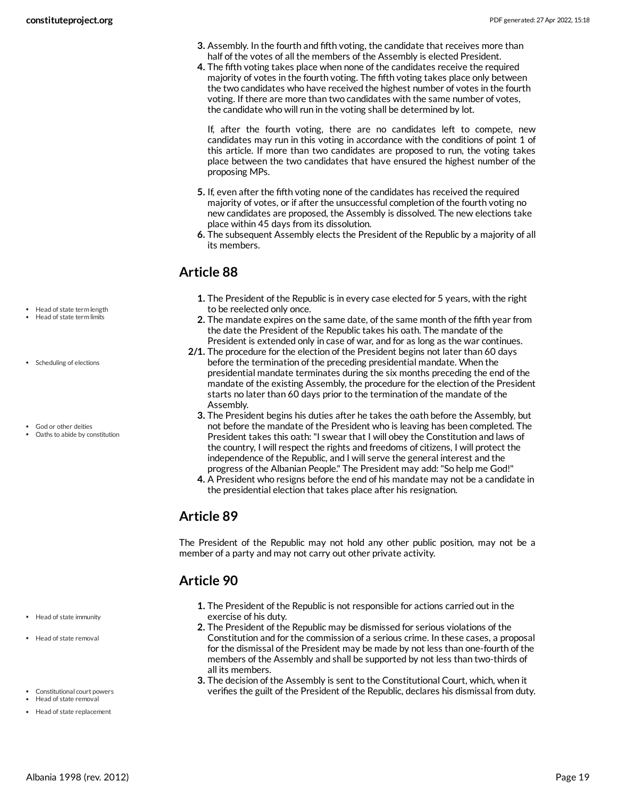- **3.** Assembly. In the fourth and fifth voting, the candidate that receives more than half of the votes of all the members of the Assembly is elected President.
- **4.** The fifth voting takes place when none of the candidates receive the required majority of votes in the fourth voting. The fifth voting takes place only between the two candidates who have received the highest number of votes in the fourth voting. If there are more than two candidates with the same number of votes, the candidate who will run in the voting shall be determined by lot.

If, after the fourth voting, there are no candidates left to compete, new candidates may run in this voting in accordance with the conditions of point 1 of this article. If more than two candidates are proposed to run, the voting takes place between the two candidates that have ensured the highest number of the proposing MPs.

- **5.** If, even after the fifth voting none of the candidates has received the required majority of votes, or if after the unsuccessful completion of the fourth voting no new candidates are proposed, the Assembly is dissolved. The new elections take place within 45 days from its dissolution.
- **6.** The subsequent Assembly elects the President of the Republic by a majority of all its members.

## <span id="page-18-0"></span>**Article 88**

- **1.** The President of the Republic is in every case elected for 5 years, with the right to be reelected only once.
- **2.** The mandate expires on the same date, of the same month of the fifth year from the date the President of the Republic takes his oath. The mandate of the President is extended only in case of war, and for as long as the war continues.
- **2/1.** The procedure for the election of the President begins not later than 60 days before the termination of the preceding presidential mandate. When the presidential mandate terminates during the six months preceding the end of the mandate of the existing Assembly, the procedure for the election of the President starts no later than 60 days prior to the termination of the mandate of the Assembly.
	- **3.** The President begins his duties after he takes the oath before the Assembly, but not before the mandate of the President who is leaving has been completed. The President takes this oath:"I swear that I will obey the Constitution and laws of the country, I will respect the rights and freedoms of citizens, I will protect the independence of the Republic, and I will serve the general interest and the progress of the Albanian People." The President may add:"So help me God!"
	- **4.** A President who resigns before the end of his mandate may not be a candidate in the presidential election that takes place after his resignation.

## <span id="page-18-1"></span>**Article 89**

The President of the Republic may not hold any other public position, may not be a member of a party and may not carry out other private activity.

## <span id="page-18-2"></span>**Article 90**

- **1.** The President of the Republic is not responsible for actions carried out in the exercise of his duty.
- **2.** The President of the Republic may be dismissed for serious violations of the Constitution and for the commission of a serious crime. In these cases, a proposal for the dismissal of the President may be made by not less than one-fourth of the members of the Assembly and shall be supported by not less than two-thirds of all its members.
- <span id="page-18-3"></span>**3.** The decision of the Assembly is sent to the Constitutional Court, which, when it verifies the guilt of the President of the Republic, declares his dismissal from duty.
- Head of state term length
- Head of state term limits
- Scheduling of elections
- God or other deities
- Oaths to abide by constitution

- Head of state immunity
- Head of state removal
- Constitutional court powers
- Head of state removal

Head of state replacement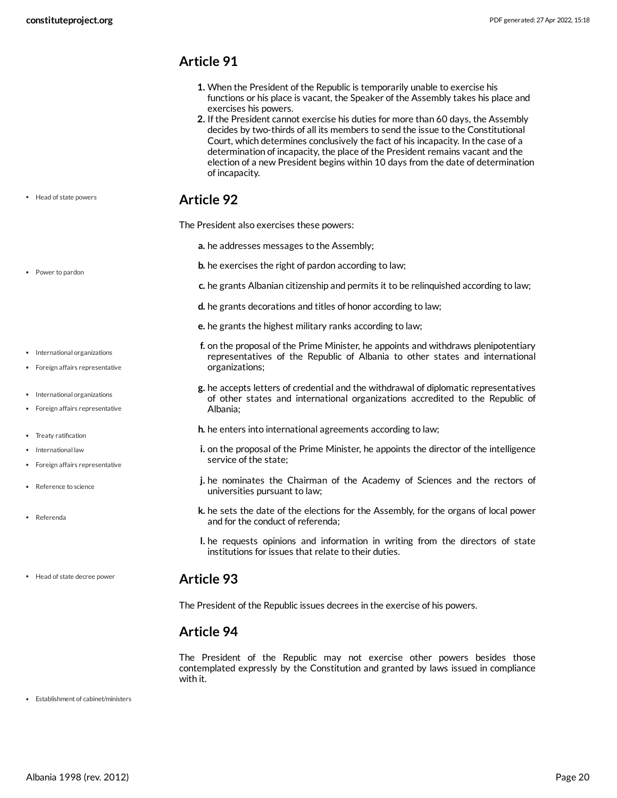- <span id="page-19-0"></span>**1.** When the President of the Republic is temporarily unable to exercise his functions or his place is vacant, the Speaker of the Assembly takes his place and exercises his powers.
- **2.** If the President cannot exercise his duties for more than 60 days, the Assembly decides by two-thirds of all its members to send the issue to the Constitutional Court, which determines conclusively the fact of his incapacity. In the case of a determination of incapacity, the place of the President remains vacant and the election of a new President begins within 10 days from the date of determination of incapacity.

#### <span id="page-19-1"></span>**Article 92**

<span id="page-19-5"></span>The President also exercises these powers:

- **a.** he addresses messages to the Assembly;
- **b.** he exercises the right of pardon according to law;
- **c.** he grants Albanian citizenship and permits it to be relinquished according to law;
- **d.** he grants decorations and titles of honor according to law;
- **e.** he grants the highest military ranks according to law;
- **f.** on the proposal of the Prime Minister, he appoints and withdraws plenipotentiary representatives of the Republic of Albania to other states and international organizations;
- **g.** he accepts letters of credential and the withdrawal of diplomatic representatives of other states and international organizations accredited to the Republic of Albania;
- **h.** he enters into international agreements according to law;
- **i.** on the proposal of the Prime Minister, he appoints the director of the intelligence service of the state;
- **j.** he nominates the Chairman of the Academy of Sciences and the rectors of universities pursuant to law;
- **k.** he sets the date of the elections for the Assembly, for the organs of local power and for the conduct of referenda;
- **l.** he requests opinions and information in writing from the directors of state institutions for issues that relate to their duties.

#### **Article 93**

<span id="page-19-2"></span>The President of the Republic issues decrees in the exercise of his powers.

#### <span id="page-19-3"></span>**Article 94**

<span id="page-19-4"></span>The President of the Republic may not exercise other powers besides those contemplated expressly by the Constitution and granted by laws issued in compliance with it.

Establishment of cabinet/ministers

## • Head of state powers

• Power to pardon

- International organizations
- Foreign affairs representative
- International organizations
- Foreign affairs representative
- Treaty ratification
- International law
- Foreign affairs representative

Head of state decree power

- Reference to science
- Referenda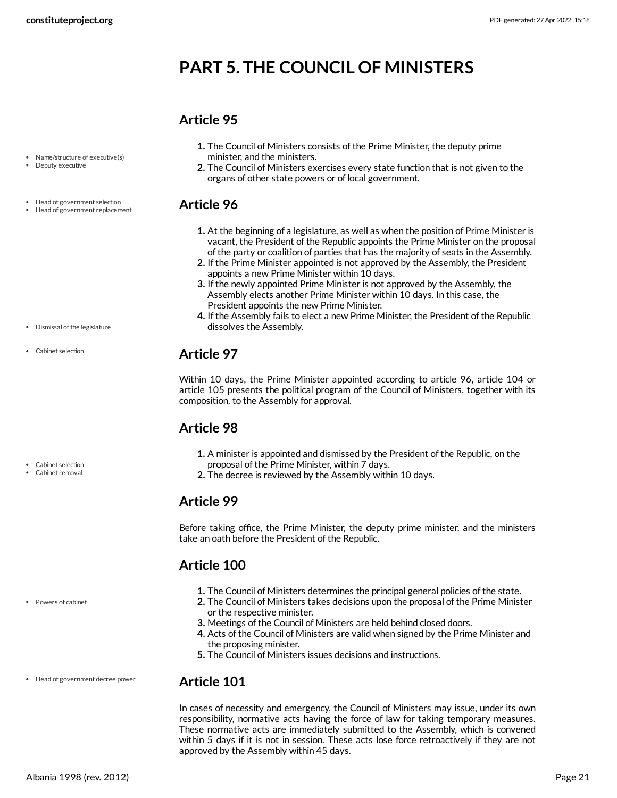## <span id="page-20-0"></span>**PART 5. THE COUNCIL OF MINISTERS**

organs of other state powers or of local government.

#### <span id="page-20-1"></span>**Article 95**

<span id="page-20-2"></span>**Article 96**

minister, and the ministers.

- Name/structure of executive(s) Deputy executive
- Head of government selection
- Head of government replacement
- vacant, the President of the Republic appoints the Prime Minister on the proposal of the party or coalition of parties that has the majority of seats in the Assembly. **2.** If the Prime Minister appointed is not approved by the Assembly, the President

**1.** The Council of Ministers consists of the Prime Minister, the deputy prime

**2.** The Council of Ministers exercises every state function that is not given to the

appoints a new Prime Minister within 10 days.

**1.** At the beginning of a legislature, as well as when the position of Prime Minister is

- **3.** If the newly appointed Prime Minister is not approved by the Assembly, the Assembly elects another Prime Minister within 10 days. In this case, the President appoints the new Prime Minister.
- **4.** If the Assembly fails to elect a new Prime Minister, the President of the Republic dissolves the Assembly.

## <span id="page-20-3"></span>**Article 97**

Within 10 days, the Prime Minister appointed according to article 96, article 104 or article 105 presents the political program of the Council of Ministers, together with its composition, to the Assembly for approval.

## <span id="page-20-4"></span>**Article 98**

- **1.** A minister is appointed and dismissed by the President of the Republic, on the proposal of the Prime Minister, within 7 days.
- **2.** The decree is reviewed by the Assembly within 10 days.

#### <span id="page-20-5"></span>**Article 99**

Before taking office, the Prime Minister, the deputy prime minister, and the ministers take an oath before the President of the Republic.

## <span id="page-20-6"></span>**Article 100**

- **1.** The Council of Ministers determines the principal general policies of the state.
- **2.** The Council of Ministers takes decisions upon the proposal of the Prime Minister or the respective minister.
- **3.** Meetings of the Council of Ministers are held behind closed doors.
- **4.** Acts of the Council of Ministers are valid when signed by the Prime Minister and the proposing minister.
- **5.** The Council of Ministers issues decisions and instructions.

#### <span id="page-20-7"></span>**Article 101**

In cases of necessity and emergency, the Council of Ministers may issue, under its own responsibility, normative acts having the force of law for taking temporary measures. These normative acts are immediately submitted to the Assembly, which is convened within 5 days if it is not in session. These acts lose force retroactively if they are not approved by the Assembly within 45 days.

- Dismissal of the legislature
- Cabinet selection

```
Cabinet selection
Cabinet removal
```
Powers of cabinet

Head of government decree power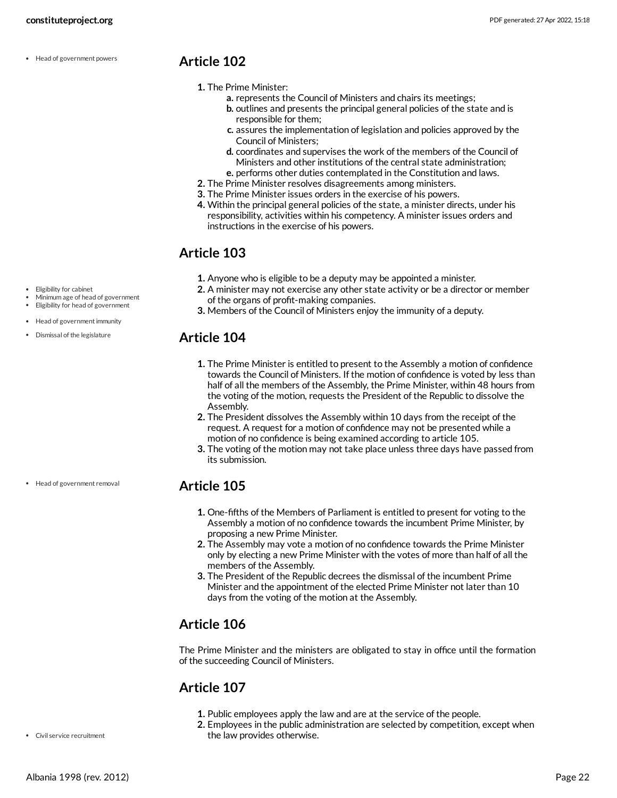Head of government powers

#### <span id="page-21-0"></span>**Article 102**

- **1.** The Prime Minister:
	- **a.** represents the Council of Ministers and chairs its meetings;
	- **b.** outlines and presents the principal general policies of the state and is responsible for them;
	- **c.** assures the implementation of legislation and policies approved by the Council of Ministers;
	- **d.** coordinates and supervises the work of the members of the Council of Ministers and other institutions of the central state administration;
	- **e.** performs other duties contemplated in the Constitution and laws.
- **2.** The Prime Minister resolves disagreements among ministers.
- **3.** The Prime Minister issues orders in the exercise of his powers.
- **4.** Within the principal general policies of the state, a minister directs, under his responsibility, activities within his competency. A minister issues orders and instructions in the exercise of his powers.

#### <span id="page-21-1"></span>**Article 103**

- **1.** Anyone who is eligible to be a deputy may be appointed a minister.
- **2.** A minister may not exercise any other state activity or be a director or member of the organs of profit-making companies.
- **3.** Members of the Council of Ministers enjoy the immunity of a deputy.

## <span id="page-21-2"></span>**Article 104**

- **1.** The Prime Minister is entitled to present to the Assembly a motion of confidence towards the Council of Ministers. If the motion of confidence is voted by less than half of all the members of the Assembly, the Prime Minister, within 48 hours from the voting of the motion, requests the President of the Republic to dissolve the Assembly.
- **2.** The President dissolves the Assembly within 10 days from the receipt of the request. A request for a motion of confidence may not be presented while a motion of no confidence is being examined according to article 105.
- **3.** The voting of the motion may not take place unless three days have passed from its submission.

## <span id="page-21-3"></span>**Article 105**

- **1.** One-fifths of the Members of Parliament is entitled to present for voting to the Assembly a motion of no confidence towards the incumbent Prime Minister, by proposing a new Prime Minister.
- **2.** The Assembly may vote a motion of no confidence towards the Prime Minister only by electing a new Prime Minister with the votes of more than half of all the members of the Assembly.
- **3.** The President of the Republic decrees the dismissal of the incumbent Prime Minister and the appointment of the elected Prime Minister not later than 10 days from the voting of the motion at the Assembly.

## <span id="page-21-4"></span>**Article 106**

The Prime Minister and the ministers are obligated to stay in office until the formation of the succeeding Council of Ministers.

## <span id="page-21-5"></span>**Article 107**

- **1.** Public employees apply the law and are at the service of the people.
- **2.** Employees in the public administration are selected by competition, except when the law provides otherwise.

Eligibility for cabinet

- Minimum age of head of government
- Eligibility for head of government
- Head of government immunity
- Dismissal of the legislature

Head of government removal

Civil service recruitment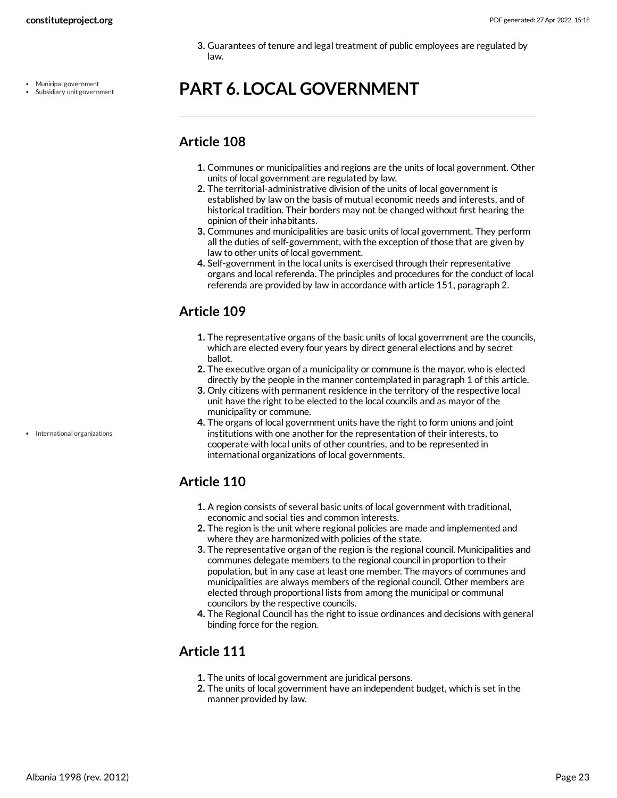- Municipal government
- Subsidiary unit government

**3.** Guarantees of tenure and legal treatment of public employees are regulated by law.

## <span id="page-22-0"></span>**PART 6. LOCAL GOVERNMENT**

## <span id="page-22-1"></span>**Article 108**

- **1.** Communes or municipalities and regions are the units of local government. Other units of local government are regulated by law.
- **2.** The territorial-administrative division of the units of local government is established by law on the basis of mutual economic needs and interests, and of historical tradition. Their borders may not be changed without first hearing the opinion of their inhabitants.
- **3.** Communes and municipalities are basic units of local government. They perform all the duties of self-government, with the exception of those that are given by law to other units of local government.
- **4.** Self-government in the local units is exercised through their representative organs and local referenda. The principles and procedures for the conduct of local referenda are provided by law in accordance with article 151, paragraph 2.

## <span id="page-22-2"></span>**Article 109**

- **1.** The representative organs of the basic units of local government are the councils, which are elected every four years by direct general elections and by secret ballot.
- **2.** The executive organ of a municipality or commune is the mayor, who is elected directly by the people in the manner contemplated in paragraph 1 of this article.
- **3.** Only citizens with permanent residence in the territory of the respective local unit have the right to be elected to the local councils and as mayor of the municipality or commune.
- **4.** The organs of local government units have the right to form unions and joint institutions with one another for the representation of their interests, to cooperate with local units of other countries, and to be represented in international organizations of local governments.

## <span id="page-22-3"></span>**Article 110**

- **1.** A region consists of several basic units of local government with traditional, economic and social ties and common interests.
- **2.** The region is the unit where regional policies are made and implemented and where they are harmonized with policies of the state.
- **3.** The representative organ of the region is the regional council. Municipalities and communes delegate members to the regional council in proportion to their population, but in any case at least one member. The mayors of communes and municipalities are always members of the regional council. Other members are elected through proportional lists from among the municipal or communal councilors by the respective councils.
- **4.** The Regional Council has the right to issue ordinances and decisions with general binding force for the region.

## <span id="page-22-4"></span>**Article 111**

- **1.** The units of local government are juridical persons.
- **2.** The units of local government have an independent budget, which is set in the manner provided by law.

• International organizations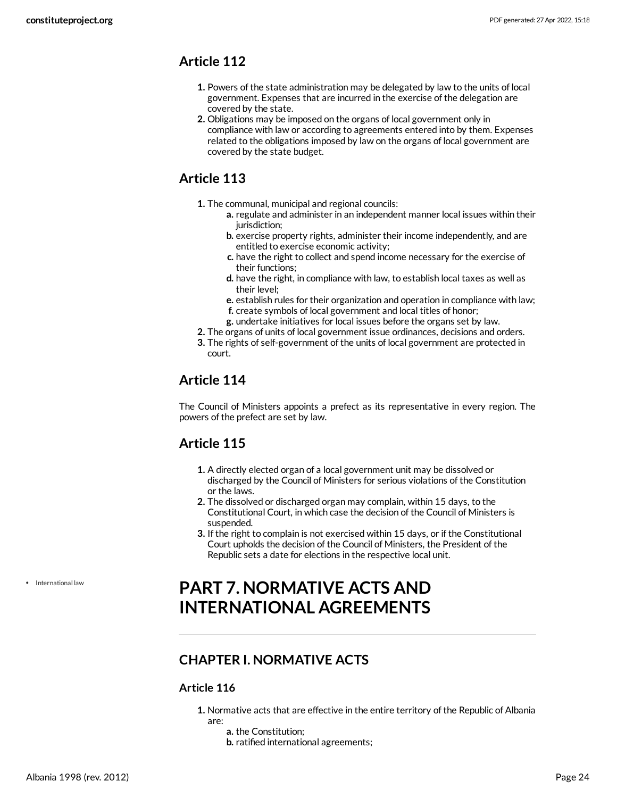- <span id="page-23-0"></span>**1.** Powers of the state administration may be delegated by law to the units of local government. Expenses that are incurred in the exercise of the delegation are covered by the state.
- **2.** Obligations may be imposed on the organs of local government only in compliance with law or according to agreements entered into by them. Expenses related to the obligations imposed by law on the organs of local government are covered by the state budget.

## <span id="page-23-1"></span>**Article 113**

- **1.** The communal, municipal and regional councils:
	- **a.** regulate and administer in an independent manner local issues within their jurisdiction;
	- **b.** exercise property rights, administer their income independently, and are entitled to exercise economic activity;
	- **c.** have the right to collect and spend income necessary for the exercise of their functions;
	- **d.** have the right, in compliance with law, to establish local taxes as well as their level;
	- **e.** establish rules for their organization and operation in compliance with law;
	- **f.** create symbols of local government and local titles of honor;
	- **g.** undertake initiatives for local issues before the organs set by law.
- **2.** The organs of units of local government issue ordinances, decisions and orders.
- **3.** The rights of self-government of the units of local government are protected in court.

## <span id="page-23-2"></span>**Article 114**

The Council of Ministers appoints a prefect as its representative in every region. The powers of the prefect are set by law.

## <span id="page-23-3"></span>**Article 115**

- **1.** A directly elected organ of a local government unit may be dissolved or discharged by the Council of Ministers for serious violations of the Constitution or the laws.
- **2.** The dissolved or discharged organ may complain, within 15 days, to the Constitutional Court, in which case the decision of the Council of Ministers is suspended.
- **3.** If the right to complain is not exercised within 15 days, or if the Constitutional Court upholds the decision of the Council of Ministers, the President of the Republic sets a date for elections in the respective local unit.

• International law

## <span id="page-23-4"></span>**PART 7. NORMATIVE ACTS AND INTERNATIONAL AGREEMENTS**

## <span id="page-23-5"></span>**CHAPTER I. NORMATIVE ACTS**

#### **Article 116**

- **1.** Normative acts that are effective in the entire territory of the Republic of Albania are:
	- **a.** the Constitution;
	- **b.** ratified international agreements;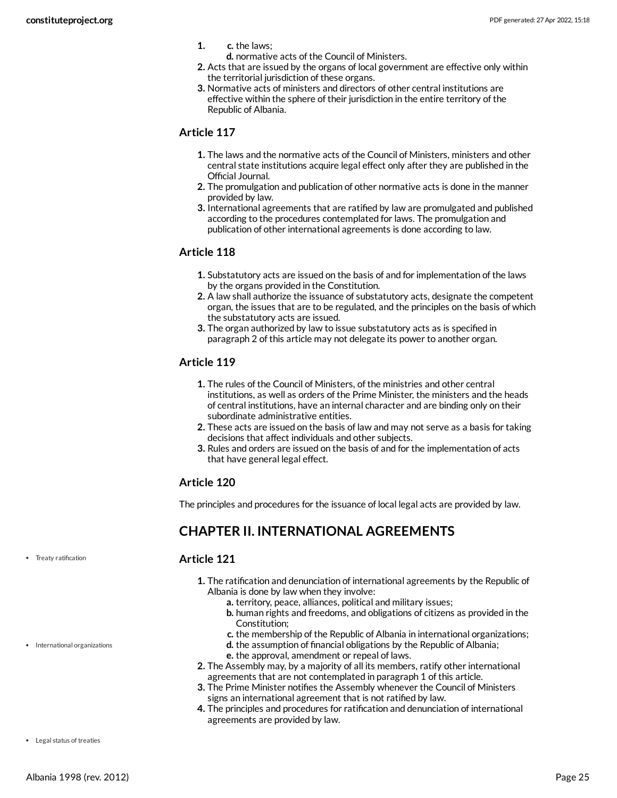- **1. c.** the laws;
	- **d.** normative acts of the Council of Ministers.
- **2.** Acts that are issued by the organs of local government are effective only within the territorial jurisdiction of these organs.
- **3.** Normative acts of ministers and directors of other central institutions are effective within the sphere of their jurisdiction in the entire territory of the Republic of Albania.

- **1.** The laws and the normative acts of the Council of Ministers, ministers and other central state institutions acquire legal effect only after they are published in the Official Journal.
- **2.** The promulgation and publication of other normative acts is done in the manner provided by law.
- **3.** International agreements that are ratified by law are promulgated and published according to the procedures contemplated for laws. The promulgation and publication of other international agreements is done according to law.

#### **Article 118**

- **1.** Substatutory acts are issued on the basis of and for implementation of the laws by the organs provided in the Constitution.
- **2.** A law shall authorize the issuance of substatutory acts, designate the competent organ, the issues that are to be regulated, and the principles on the basis of which the substatutory acts are issued.
- **3.** The organ authorized by law to issue substatutory acts as is specified in paragraph 2 of this article may not delegate its power to another organ.

#### **Article 119**

- **1.** The rules of the Council of Ministers, of the ministries and other central institutions, as well as orders of the Prime Minister, the ministers and the heads of central institutions, have an internal character and are binding only on their subordinate administrative entities.
- **2.** These acts are issued on the basis of law and may not serve as a basis for taking decisions that affect individuals and other subjects.
- **3.** Rules and orders are issued on the basis of and for the implementation of acts that have general legal effect.

#### **Article 120**

The principles and procedures for the issuance of local legal acts are provided by law.

## <span id="page-24-0"></span>**CHAPTER II. INTERNATIONAL AGREEMENTS**

#### <span id="page-24-1"></span>**Article 121**

- **1.** The ratification and denunciation of international agreements by the Republic of Albania is done by law when they involve:
	- **a.** territory, peace, alliances, political and military issues;
	- **b.** human rights and freedoms, and obligations of citizens as provided in the Constitution;
	- **c.** the membership of the Republic of Albania in international organizations;
	- **d.** the assumption of financial obligations by the Republic of Albania;
	- **e.** the approval, amendment or repeal of laws.
- **2.** The Assembly may, by a majority of all its members, ratify other international agreements that are not contemplated in paragraph 1 of this article.
- **3.** The Prime Minister notifies the Assembly whenever the Council of Ministers signs an international agreement that is not ratified by law.
- <span id="page-24-2"></span>**4.** The principles and procedures for ratification and denunciation of international agreements are provided by law.

• Treaty ratification

#### • International organizations

• Legal status of treaties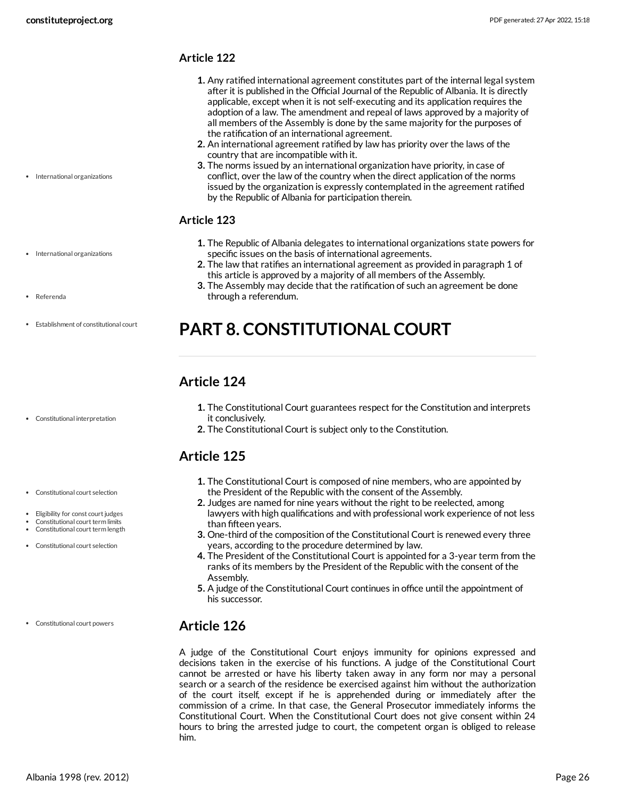• International organizations

• International organizations

Establishment of constitutional court

Referenda

#### **Article 122**

- **1.** Any ratified international agreement constitutes part of the internal legal system after it is published in the Official Journal of the Republic of Albania. It is directly applicable, except when it is not self-executing and its application requires the adoption of a law. The amendment and repeal of laws approved by a majority of all members of the Assembly is done by the same majority for the purposes of the ratification of an international agreement.
- **2.** An international agreement ratified by law has priority over the laws of the country that are incompatible with it.
- **3.** The norms issued by an international organization have priority, in case of conflict, over the law of the country when the direct application of the norms issued by the organization is expressly contemplated in the agreement ratified by the Republic of Albania for participation therein.

#### <span id="page-25-4"></span>**Article 123**

- **1.** The Republic of Albania delegates to international organizations state powers for specific issues on the basis of international agreements.
- **2.** The law that ratifies an international agreement as provided in paragraph 1 of this article is approved by a majority of all members of the Assembly.
- **3.** The Assembly may decide that the ratification of such an agreement be done through a referendum.

## <span id="page-25-0"></span>**PART 8. CONSTITUTIONAL COURT**

## <span id="page-25-1"></span>**Article 124**

- **1.** The Constitutional Court guarantees respect for the Constitution and interprets it conclusively.
- **2.** The Constitutional Court is subject only to the Constitution.

## <span id="page-25-2"></span>**Article 125**

- **1.** The Constitutional Court is composed of nine members, who are appointed by the President of the Republic with the consent of the Assembly.
- **2.** Judges are named for nine years without the right to be reelected, among lawyers with high qualifications and with professional work experience of not less than fifteen years.
- **3.** One-third of the composition of the Constitutional Court is renewed every three years, according to the procedure determined by law.
- **4.** The President of the Constitutional Court is appointed for a 3-year term from the ranks of its members by the President of the Republic with the consent of the Assembly.
- **5.** A judge of the Constitutional Court continues in office until the appointment of his successor.

## <span id="page-25-3"></span>**Article 126**

A judge of the Constitutional Court enjoys immunity for opinions expressed and decisions taken in the exercise of his functions. A judge of the Constitutional Court cannot be arrested or have his liberty taken away in any form nor may a personal search or a search of the residence be exercised against him without the authorization of the court itself, except if he is apprehended during or immediately after the commission of a crime. In that case, the General Prosecutor immediately informs the Constitutional Court. When the Constitutional Court does not give consent within 24 hours to bring the arrested judge to court, the competent organ is obliged to release him.

Constitutional interpretation

- Constitutional court selection
- 
- Eligibility for const court judges Constitutional court term limits
- Constitutional court term length
- Constitutional court selection
- Constitutional court powers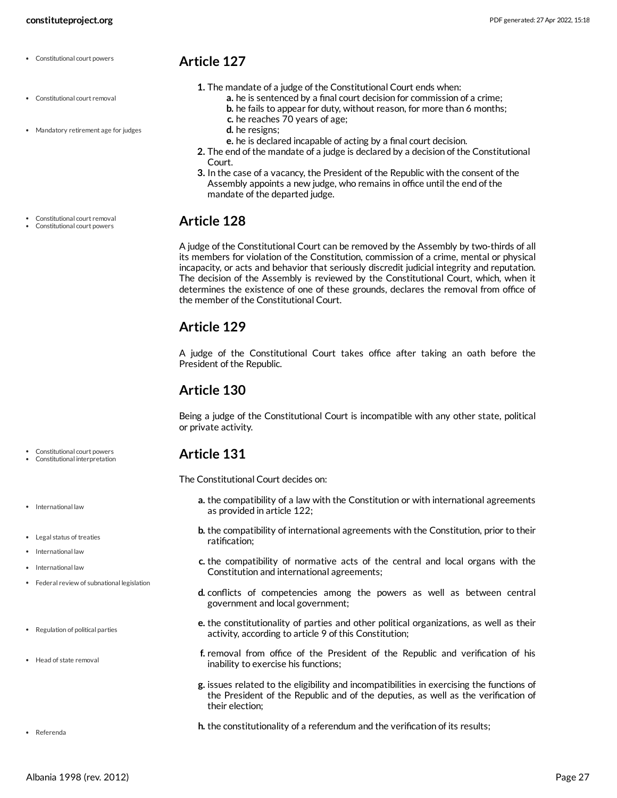- Constitutional court powers
- Constitutional court removal
- Mandatory retirement age for judges
- <span id="page-26-0"></span>**Article 127**
	- **1.** The mandate of a judge of the Constitutional Court ends when:
		- **a.** he is sentenced by a final court decision for commission of a crime;
		- **b.** he fails to appear for duty, without reason, for more than 6 months;
		- **c.** he reaches 70 years of age;
		- **d.** he resigns;
		- **e.** he is declared incapable of acting by a final court decision.
	- **2.** The end of the mandate of a judge is declared by a decision of the Constitutional Court.
	- **3.** In the case of a vacancy, the President of the Republic with the consent of the Assembly appoints a new judge, who remains in office until the end of the mandate of the departed judge.

<span id="page-26-1"></span>A judge of the Constitutional Court can be removed by the Assembly by two-thirds of all its members for violation of the Constitution, commission of a crime, mental or physical incapacity, or acts and behavior that seriously discredit judicial integrity and reputation. The decision of the Assembly is reviewed by the Constitutional Court, which, when it determines the existence of one of these grounds, declares the removal from office of the member of the Constitutional Court.

#### <span id="page-26-2"></span>**Article 129**

A judge of the Constitutional Court takes office after taking an oath before the President of the Republic.

#### <span id="page-26-3"></span>**Article 130**

Being a judge of the Constitutional Court is incompatible with any other state, political or private activity.

#### <span id="page-26-4"></span>**Article 131**

<span id="page-26-5"></span>The Constitutional Court decides on:

- **a.** the compatibility of a law with the Constitution or with international agreements as provided in article 122;
- **b.** the compatibility of international agreements with the Constitution, prior to their ratification;
- **c.** the compatibility of normative acts of the central and local organs with the Constitution and international agreements;
- **d.** conflicts of competencies among the powers as well as between central government and local government;
- **e.** the constitutionality of parties and other political organizations, as well as their activity, according to article 9 of this Constitution;
- **f.** removal from office of the President of the Republic and verification of his inability to exercise his functions;
- **g.** issues related to the eligibility and incompatibilities in exercising the functions of the President of the Republic and of the deputies, as well as the verification of their election;
- **h.** the constitutionality of a referendum and the verification of its results;

Constitutional court removal

Constitutional court powers

Constitutional court powers Constitutional interpretation

- International law
- Legal status of treaties
- International law
- International law
- Federal review of subnational legislation
- Regulation of political parties
- Head of state removal

Referenda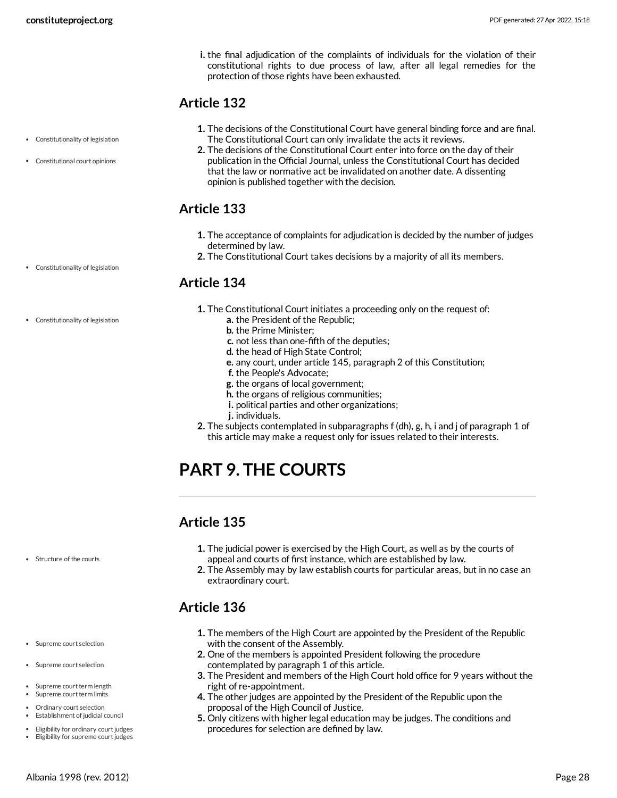**i.** the final adjudication of the complaints of individuals for the violation of their constitutional rights to due process of law, after all legal remedies for the protection of those rights have been exhausted.

#### <span id="page-27-0"></span>**Article 132**

- **1.** The decisions of the Constitutional Court have general binding force and are final. The Constitutional Court can only invalidate the acts it reviews.
- **2.** The decisions of the Constitutional Court enter into force on the day of their publication in the Official Journal, unless the Constitutional Court has decided that the law or normative act be invalidated on another date. A dissenting opinion is published together with the decision.

## <span id="page-27-1"></span>**Article 133**

- **1.** The acceptance of complaints for adjudication is decided by the number of judges determined by law.
- **2.** The Constitutional Court takes decisions by a majority of all its members.

## <span id="page-27-2"></span>**Article 134**

- **1.** The Constitutional Court initiates a proceeding only on the request of:
	- **a.** the President of the Republic;
		- **b.** the Prime Minister;
		- **c.** not less than one-fifth of the deputies;
		- **d.** the head of High State Control;
		- **e.** any court, under article 145, paragraph 2 of this Constitution;
		- **f.** the People's Advocate;
		- **g.** the organs of local government;
		- **h.** the organs of religious communities;
		- **i.** political parties and other organizations;
	- **j.** individuals.
- **2.** The subjects contemplated in subparagraphs f (dh), g, h, i and j of paragraph 1 of this article may make a request only for issues related to their interests.

## <span id="page-27-3"></span>**PART 9. THE COURTS**

## <span id="page-27-4"></span>**Article 135**

- **1.** The judicial power is exercised by the High Court, as well as by the courts of appeal and courts of first instance, which are established by law.
- **2.** The Assembly may by law establish courts for particular areas, but in no case an extraordinary court.

## <span id="page-27-5"></span>**Article 136**

- **1.** The members of the High Court are appointed by the President of the Republic with the consent of the Assembly.
- **2.** One of the members is appointed President following the procedure contemplated by paragraph 1 of this article.
- **3.** The President and members of the High Court hold office for 9 years without the right of re-appointment.
- **4.** The other judges are appointed by the President of the Republic upon the proposal of the High Council of Justice.
- **5.** Only citizens with higher legal education may be judges. The conditions and procedures for selection are defined by law.
- Constitutionality of legislation
- Constitutional court opinions

- Constitutionality of legislation
- Constitutionality of legislation

- Structure of the courts
- Supreme court selection
- Supreme court selection
- Supreme court term length Supreme court term limits
- Ordinary court selection
- Establishment of judicial council
- Eligibility for ordinary court judges • Eligibility for supreme court judges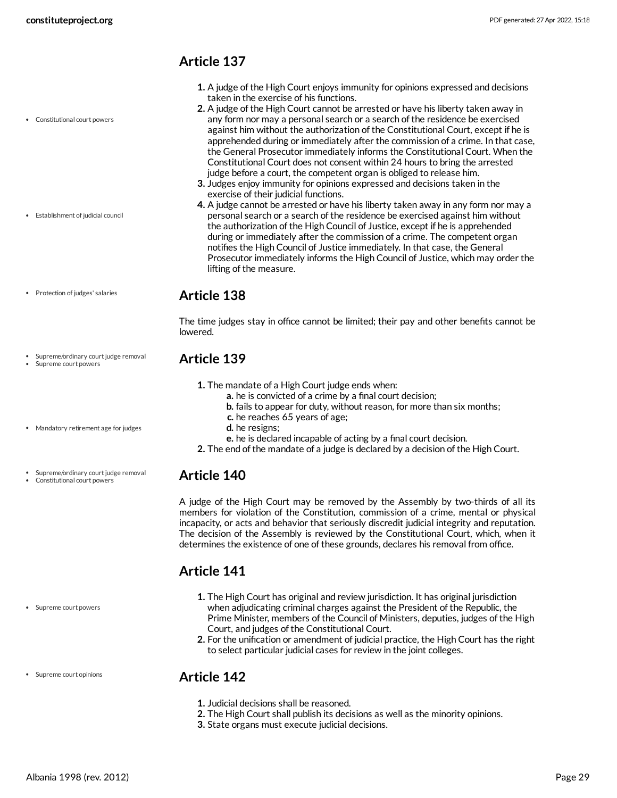Constitutional court powers

Establishment of judicial council

## <span id="page-28-0"></span>**Article 137**

- **1.** A judge of the High Court enjoys immunity for opinions expressed and decisions taken in the exercise of his functions.
- **2.** A judge of the High Court cannot be arrested or have his liberty taken away in any form nor may a personal search or a search of the residence be exercised against him without the authorization of the Constitutional Court, except if he is apprehended during or immediately after the commission of a crime. In that case, the General Prosecutor immediately informs the Constitutional Court. When the Constitutional Court does not consent within 24 hours to bring the arrested judge before a court, the competent organ is obliged to release him.
- **3.** Judges enjoy immunity for opinions expressed and decisions taken in the exercise of their judicial functions.
- **4.** A judge cannot be arrested or have his liberty taken away in any form nor may a personal search or a search of the residence be exercised against him without the authorization of the High Council of Justice, except if he is apprehended during or immediately after the commission of a crime. The competent organ notifies the High Council of Justice immediately. In that case, the General Prosecutor immediately informs the High Council of Justice, which may order the lifting of the measure.
- Protection of judges' salaries

Supreme/ordinary court judge removal

Supreme court powers

#### <span id="page-28-1"></span>**Article 138**

The time judges stay in office cannot be limited; their pay and other benefits cannot be lowered.

#### <span id="page-28-2"></span>**Article 139**

- **1.** The mandate of a High Court judge ends when:
	- **a.** he is convicted of a crime by a final court decision;
	- **b.** fails to appear for duty, without reason, for more than six months;
	- **c.** he reaches 65 years of age;
	- **d.** he resigns;
	- **e.** he is declared incapable of acting by a final court decision.
- **2.** The end of the mandate of a judge is declared by a decision of the High Court.

#### <span id="page-28-3"></span>**Article 140**

A judge of the High Court may be removed by the Assembly by two-thirds of all its members for violation of the Constitution, commission of a crime, mental or physical incapacity, or acts and behavior that seriously discredit judicial integrity and reputation. The decision of the Assembly is reviewed by the Constitutional Court, which, when it determines the existence of one of these grounds, declares his removal from office.

## <span id="page-28-4"></span>**Article 141**

- **1.** The High Court has original and review jurisdiction. It has original jurisdiction when adjudicating criminal charges against the President of the Republic, the Prime Minister, members of the Council of Ministers, deputies, judges of the High Court, and judges of the Constitutional Court.
- **2.** For the unification or amendment of judicial practice, the High Court has the right to select particular judicial cases for review in the joint colleges.

#### <span id="page-28-5"></span>**Article 142**

- **1.** Judicial decisions shall be reasoned.
- **2.** The High Court shall publish its decisions as well as the minority opinions.
- **3.** State organs must execute judicial decisions.

Mandatory retirement age for judges

Supreme/ordinary court judge removal Constitutional court powers

Supreme court opinions

Supreme court powers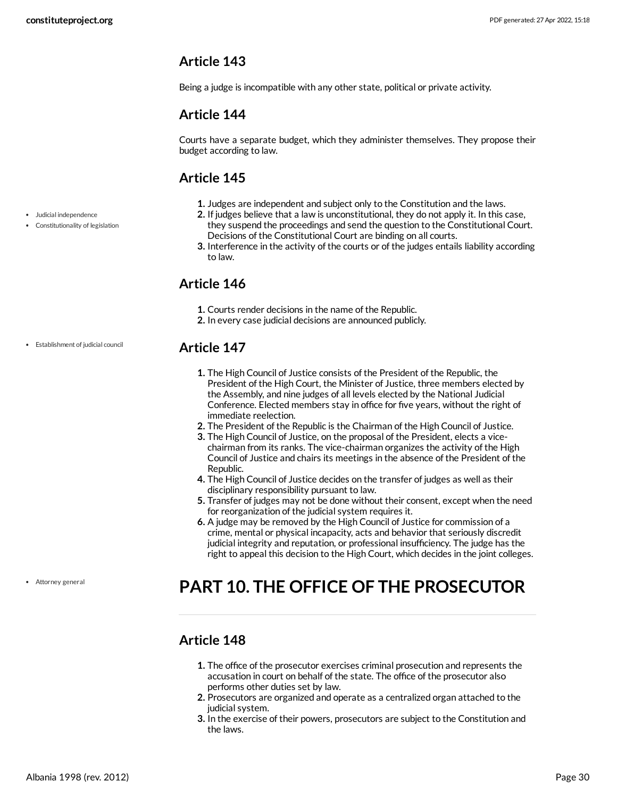<span id="page-29-0"></span>Being a judge is incompatible with any other state, political or private activity.

## <span id="page-29-1"></span>**Article 144**

Courts have a separate budget, which they administer themselves. They propose their budget according to law.

## <span id="page-29-2"></span>**Article 145**

- **1.** Judges are independent and subject only to the Constitution and the laws.
- **2.** If judges believe that a law is unconstitutional, they do not apply it. In this case, they suspend the proceedings and send the question to the Constitutional Court. Decisions of the Constitutional Court are binding on all courts.
- **3.** Interference in the activity of the courts or of the judges entails liability according to law.

## <span id="page-29-3"></span>**Article 146**

- **1.** Courts render decisions in the name of the Republic.
- **2.** In every case judicial decisions are announced publicly.

## <span id="page-29-4"></span>**Article 147**

- **1.** The High Council of Justice consists of the President of the Republic, the President of the High Court, the Minister of Justice, three members elected by the Assembly, and nine judges of all levels elected by the National Judicial Conference. Elected members stay in office for five years, without the right of immediate reelection.
- **2.** The President of the Republic is the Chairman of the High Council of Justice.
- **3.** The High Council of Justice, on the proposal of the President, elects a vicechairman from its ranks. The vice-chairman organizes the activity of the High Council of Justice and chairs its meetings in the absence of the President of the Republic.
- **4.** The High Council of Justice decides on the transfer of judges as well as their disciplinary responsibility pursuant to law.
- **5.** Transfer of judges may not be done without their consent, except when the need for reorganization of the judicial system requires it.
- **6.** A judge may be removed by the High Council of Justice for commission of a crime, mental or physical incapacity, acts and behavior that seriously discredit judicial integrity and reputation, or professional insufficiency. The judge has the right to appeal this decision to the High Court, which decides in the joint colleges.

## <span id="page-29-5"></span>**PART 10. THE OFFICE OF THE PROSECUTOR**

## <span id="page-29-6"></span>**Article 148**

- **1.** The office of the prosecutor exercises criminal prosecution and represents the accusation in court on behalf of the state. The office of the prosecutor also performs other duties set by law.
- **2.** Prosecutors are organized and operate as a centralized organ attached to the judicial system.
- **3.** In the exercise of their powers, prosecutors are subject to the Constitution and the laws.
- Judicial independence
- Constitutionality of legislation

Establishment of judicial council

Attorney general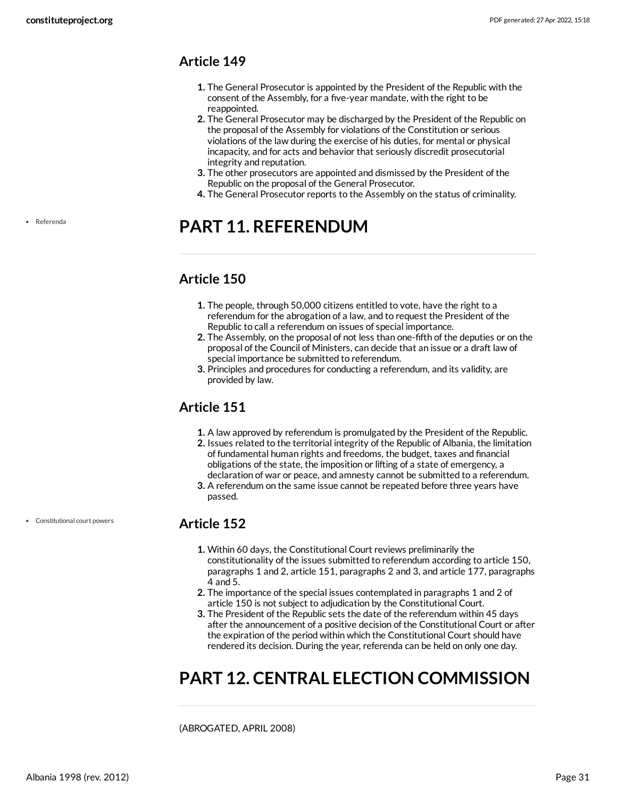- <span id="page-30-0"></span>**1.** The General Prosecutor is appointed by the President of the Republic with the consent of the Assembly, for a five-year mandate, with the right to be reappointed.
- **2.** The General Prosecutor may be discharged by the President of the Republic on the proposal of the Assembly for violations of the Constitution or serious violations of the law during the exercise of his duties, for mental or physical incapacity, and for acts and behavior that seriously discredit prosecutorial integrity and reputation.
- **3.** The other prosecutors are appointed and dismissed by the President of the Republic on the proposal of the General Prosecutor.
- **4.** The General Prosecutor reports to the Assembly on the status of criminality.

## <span id="page-30-1"></span>**PART 11. REFERENDUM**

## <span id="page-30-2"></span>**Article 150**

- **1.** The people, through 50,000 citizens entitled to vote, have the right to a referendum for the abrogation of a law, and to request the President of the Republic to call a referendum on issues of special importance.
- **2.** The Assembly, on the proposal of not less than one-fifth of the deputies or on the proposal of the Council of Ministers, can decide that an issue or a draft law of special importance be submitted to referendum.
- **3.** Principles and procedures for conducting a referendum, and its validity, are provided by law.

## <span id="page-30-3"></span>**Article 151**

- **1.** A law approved by referendum is promulgated by the President of the Republic.
- **2.** Issues related to the territorial integrity of the Republic of Albania, the limitation of fundamental human rights and freedoms, the budget, taxes and financial obligations of the state, the imposition or lifting of a state of emergency, a declaration of war or peace, and amnesty cannot be submitted to a referendum.
- **3.** A referendum on the same issue cannot be repeated before three years have passed.

#### <span id="page-30-4"></span>**Article 152**

- **1.** Within 60 days, the Constitutional Court reviews preliminarily the constitutionality of the issues submitted to referendum according to article 150, paragraphs 1 and 2, article 151, paragraphs 2 and 3, and article 177, paragraphs 4 and 5.
- **2.** The importance of the special issues contemplated in paragraphs 1 and 2 of article 150 is not subject to adjudication by the Constitutional Court.
- **3.** The President of the Republic sets the date of the referendum within 45 days after the announcement of a positive decision of the Constitutional Court or after the expiration of the period within which the Constitutional Court should have rendered its decision. During the year, referenda can be held on only one day.

## <span id="page-30-5"></span>**PART 12. CENTRAL ELECTION COMMISSION**

(ABROGATED, APRIL 2008)

Referenda

Constitutional court powers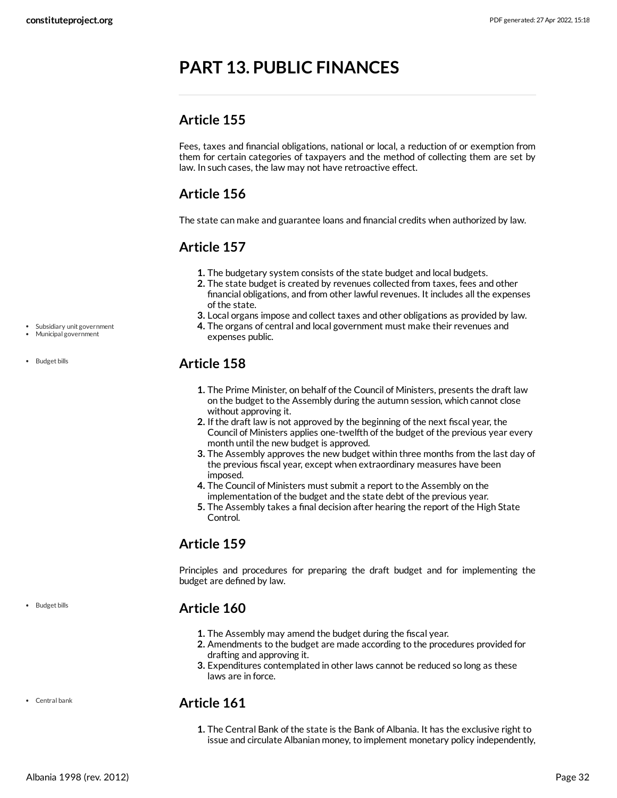## <span id="page-31-0"></span>**PART 13. PUBLIC FINANCES**

## <span id="page-31-1"></span>**Article 155**

Fees, taxes and financial obligations, national or local, a reduction of or exemption from them for certain categories of taxpayers and the method of collecting them are set by law. In such cases, the law may not have retroactive effect.

## <span id="page-31-2"></span>**Article 156**

The state can make and guarantee loans and financial credits when authorized by law.

## <span id="page-31-3"></span>**Article 157**

- **1.** The budgetary system consists of the state budget and local budgets.
- **2.** The state budget is created by revenues collected from taxes, fees and other financial obligations, and from other lawful revenues. It includes all the expenses of the state.
- **3.** Local organs impose and collect taxes and other obligations as provided by law.
- **4.** The organs of central and local government must make their revenues and expenses public.

## <span id="page-31-4"></span>**Article 158**

- **1.** The Prime Minister, on behalf of the Council of Ministers, presents the draft law on the budget to the Assembly during the autumn session, which cannot close without approving it.
- **2.** If the draft law is not approved by the beginning of the next fiscal year, the Council of Ministers applies one-twelfth of the budget of the previous year every month until the new budget is approved.
- **3.** The Assembly approves the new budget within three months from the last day of the previous fiscal year, except when extraordinary measures have been imposed.
- **4.** The Council of Ministers must submit a report to the Assembly on the implementation of the budget and the state debt of the previous year.
- **5.** The Assembly takes a final decision after hearing the report of the High State Control.

## <span id="page-31-5"></span>**Article 159**

Principles and procedures for preparing the draft budget and for implementing the budget are defined by law.

## <span id="page-31-6"></span>**Article 160**

- **1.** The Assembly may amend the budget during the fiscal year.
- **2.** Amendments to the budget are made according to the procedures provided for drafting and approving it.
- **3.** Expenditures contemplated in other laws cannot be reduced so long as these laws are in force.

## <span id="page-31-7"></span>**Article 161**

**1.** The Central Bank of the state is the Bank of Albania. It has the exclusive right to issue and circulate Albanian money, to implement monetary policy independently,

Subsidiary unit government

Municipal government

• Budget bills

Central bank

• Budget bills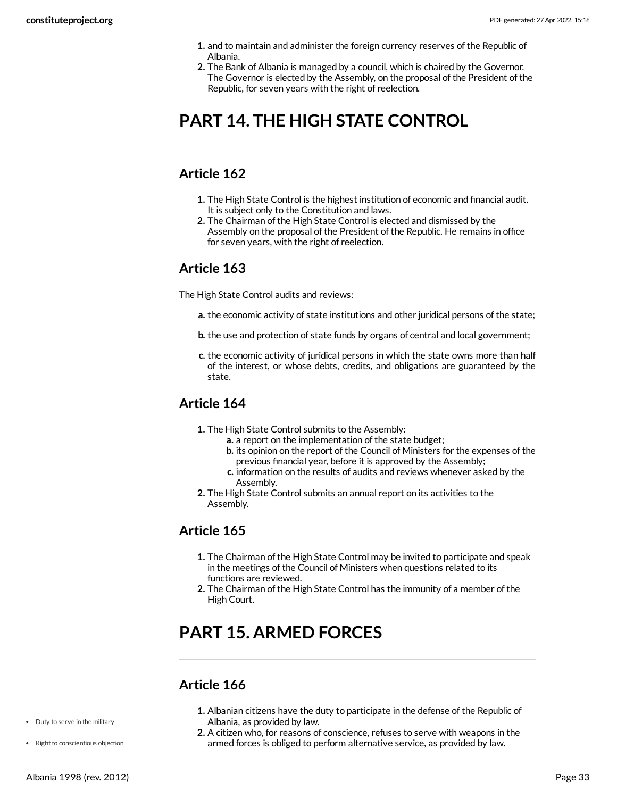- **1.** and to maintain and administer the foreign currency reserves of the Republic of Albania.
- **2.** The Bank of Albania is managed by a council, which is chaired by the Governor. The Governor is elected by the Assembly, on the proposal of the President of the Republic, for seven years with the right of reelection.

## <span id="page-32-0"></span>**PART 14. THE HIGH STATE CONTROL**

## <span id="page-32-1"></span>**Article 162**

- **1.** The High State Control is the highest institution of economic and financial audit. It is subject only to the Constitution and laws.
- **2.** The Chairman of the High State Control is elected and dismissed by the Assembly on the proposal of the President of the Republic. He remains in office for seven years, with the right of reelection.

#### <span id="page-32-2"></span>**Article 163**

The High State Control audits and reviews:

- **a.** the economic activity of state institutions and other juridical persons of the state;
- **b.** the use and protection of state funds by organs of central and local government;
- **c.** the economic activity of juridical persons in which the state owns more than half of the interest, or whose debts, credits, and obligations are guaranteed by the state.

## <span id="page-32-3"></span>**Article 164**

- **1.** The High State Control submits to the Assembly:
	- **a.** a report on the implementation of the state budget;
	- **b.** its opinion on the report of the Council of Ministers for the expenses of the previous financial year, before it is approved by the Assembly;
	- **c.** information on the results of audits and reviews whenever asked by the Assembly.
- **2.** The High State Control submits an annual report on its activities to the Assembly.

## <span id="page-32-4"></span>**Article 165**

- **1.** The Chairman of the High State Control may be invited to participate and speak in the meetings of the Council of Ministers when questions related to its functions are reviewed.
- **2.** The Chairman of the High State Control has the immunity of a member of the High Court.

## <span id="page-32-5"></span>**PART 15. ARMED FORCES**

## <span id="page-32-6"></span>**Article 166**

- **1.** Albanian citizens have the duty to participate in the defense of the Republic of Albania, as provided by law.
- **2.** A citizen who, for reasons of conscience, refuses to serve with weapons in the armed forces is obliged to perform alternative service, as provided by law.
- Duty to serve in the military
- Right to conscientious objection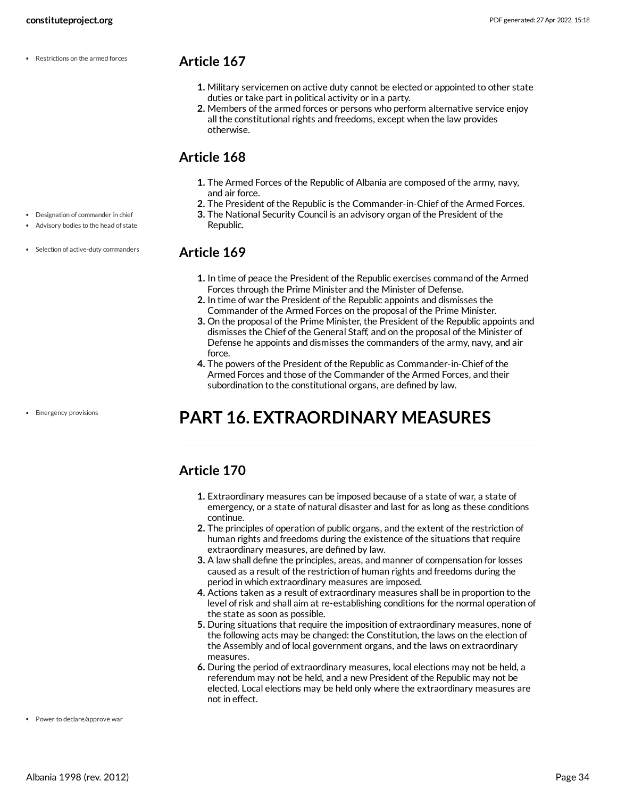Restrictions on the armed forces

Designation of commander in chief Advisory bodies to the head of state

• Selection of active-duty commanders

#### <span id="page-33-0"></span>**Article 167**

- **1.** Military servicemen on active duty cannot be elected or appointed to other state duties or take part in political activity or in a party.
- **2.** Members of the armed forces or persons who perform alternative service enjoy all the constitutional rights and freedoms, except when the law provides otherwise.

## <span id="page-33-1"></span>**Article 168**

- **1.** The Armed Forces of the Republic of Albania are composed of the army, navy, and air force.
- **2.** The President of the Republic is the Commander-in-Chief of the Armed Forces.
- **3.** The National Security Council is an advisory organ of the President of the Republic.

#### <span id="page-33-2"></span>**Article 169**

- **1.** In time of peace the President of the Republic exercises command of the Armed Forces through the Prime Minister and the Minister of Defense.
- **2.** In time of war the President of the Republic appoints and dismisses the Commander of the Armed Forces on the proposal of the Prime Minister.
- **3.** On the proposal of the Prime Minister, the President of the Republic appoints and dismisses the Chief of the General Staff, and on the proposal of the Minister of Defense he appoints and dismisses the commanders of the army, navy, and air force.
- **4.** The powers of the President of the Republic as Commander-in-Chief of the Armed Forces and those of the Commander of the Armed Forces, and their subordination to the constitutional organs, are defined by law.

## <span id="page-33-3"></span>**PART 16. EXTRAORDINARY MEASURES**

## <span id="page-33-4"></span>**Article 170**

- **1.** Extraordinary measures can be imposed because of a state of war, a state of emergency, or a state of natural disaster and last for as long as these conditions continue.
- **2.** The principles of operation of public organs, and the extent of the restriction of human rights and freedoms during the existence of the situations that require extraordinary measures, are defined by law.
- **3.** A law shall define the principles, areas, and manner of compensation for losses caused as a result of the restriction of human rights and freedoms during the period in which extraordinary measures are imposed.
- **4.** Actions taken as a result of extraordinary measures shall be in proportion to the level of risk and shall aim at re-establishing conditions for the normal operation of the state as soon as possible.
- **5.** During situations that require the imposition of extraordinary measures, none of the following acts may be changed: the Constitution, the laws on the election of the Assembly and of local government organs, and the laws on extraordinary measures.
- <span id="page-33-5"></span>**6.** During the period of extraordinary measures, local elections may not be held, a referendum may not be held, and a new President of the Republic may not be elected. Local elections may be held only where the extraordinary measures are not in effect.

• Emergency provisions

Power to declare/approve war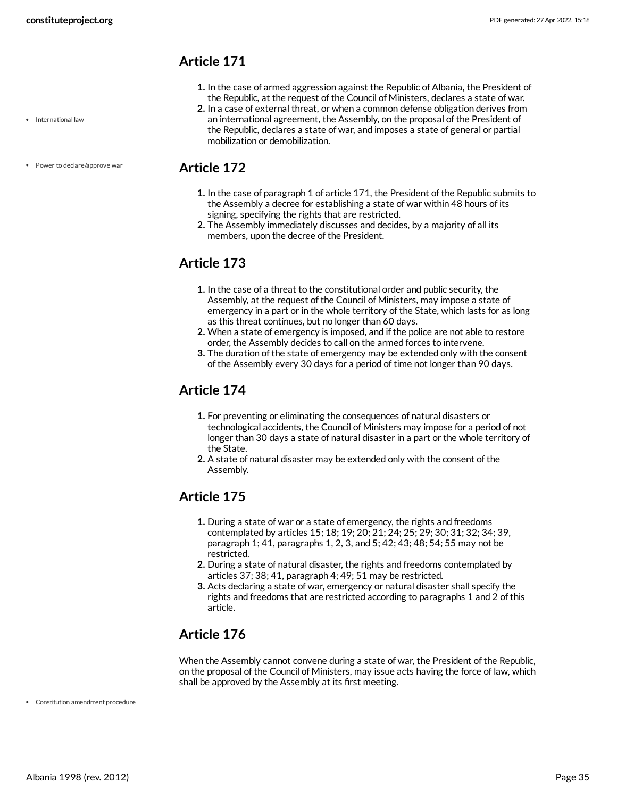- <span id="page-34-0"></span>**1.** In the case of armed aggression against the Republic of Albania, the President of the Republic, at the request of the Council of Ministers, declares a state of war.
- **2.** In a case of external threat, or when a common defense obligation derives from an international agreement, the Assembly, on the proposal of the President of the Republic, declares a state of war, and imposes a state of general or partial mobilization or demobilization.

### <span id="page-34-1"></span>**Article 172**

- **1.** In the case of paragraph 1 of article 171, the President of the Republic submits to the Assembly a decree for establishing a state of war within 48 hours of its signing, specifying the rights that are restricted.
- **2.** The Assembly immediately discusses and decides, by a majority of all its members, upon the decree of the President.

## <span id="page-34-2"></span>**Article 173**

- **1.** In the case of a threat to the constitutional order and public security, the Assembly, at the request of the Council of Ministers, may impose a state of emergency in a part or in the whole territory of the State, which lasts for as long as this threat continues, but no longer than 60 days.
- **2.** When a state of emergency is imposed, and if the police are not able to restore order, the Assembly decides to call on the armed forces to intervene.
- **3.** The duration of the state of emergency may be extended only with the consent of the Assembly every 30 days for a period of time not longer than 90 days.

## <span id="page-34-3"></span>**Article 174**

- **1.** For preventing or eliminating the consequences of natural disasters or technological accidents, the Council of Ministers may impose for a period of not longer than 30 days a state of natural disaster in a part or the whole territory of the State.
- **2.** A state of natural disaster may be extended only with the consent of the Assembly.

## <span id="page-34-4"></span>**Article 175**

- **1.** During a state of war or a state of emergency, the rights and freedoms contemplated by articles 15; 18; 19; 20; 21; 24; 25; 29; 30; 31; 32; 34; 39, paragraph 1; 41, paragraphs 1, 2, 3, and 5; 42; 43; 48; 54; 55 may not be restricted.
- **2.** During a state of natural disaster, the rights and freedoms contemplated by articles 37; 38; 41, paragraph 4; 49; 51 may be restricted.
- **3.** Acts declaring a state of war, emergency or natural disaster shall specify the rights and freedoms that are restricted according to paragraphs 1 and 2 of this article.

## <span id="page-34-5"></span>**Article 176**

<span id="page-34-6"></span>When the Assembly cannot convene during a state of war, the President of the Republic, on the proposal of the Council of Ministers, may issue acts having the force of law, which shall be approved by the Assembly at its first meeting.

Constitution amendment procedure

• International law

• Power to declare/approve war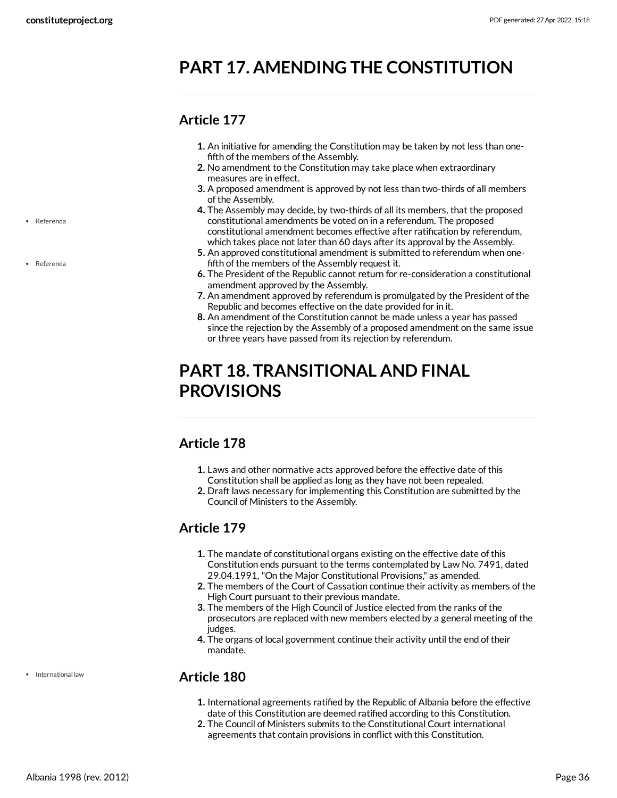## <span id="page-35-0"></span>**PART 17. AMENDING THE CONSTITUTION**

## <span id="page-35-1"></span>**Article 177**

- **1.** An initiative for amending the Constitution may be taken by not less than one fifth of the members of the Assembly.
- **2.** No amendment to the Constitution may take place when extraordinary measures are in effect.
- **3.** A proposed amendment is approved by not less than two-thirds of all members of the Assembly.
- **4.** The Assembly may decide, by two-thirds of all its members, that the proposed constitutional amendments be voted on in a referendum. The proposed constitutional amendment becomes effective after ratification by referendum, which takes place not later than 60 days after its approval by the Assembly.
- **5.** An approved constitutional amendment is submitted to referendum when one fifth of the members of the Assembly request it.
- **6.** The President of the Republic cannot return for re-consideration a constitutional amendment approved by the Assembly.
- **7.** An amendment approved by referendum is promulgated by the President of the Republic and becomes effective on the date provided for in it.
- **8.** An amendment of the Constitution cannot be made unless a year has passed since the rejection by the Assembly of a proposed amendment on the same issue or three years have passed from its rejection by referendum.

## <span id="page-35-2"></span>**PART 18. TRANSITIONAL AND FINAL PROVISIONS**

## <span id="page-35-3"></span>**Article 178**

- **1.** Laws and other normative acts approved before the effective date of this Constitution shall be applied as long as they have not been repealed.
- **2.** Draft laws necessary for implementing this Constitution are submitted by the Council of Ministers to the Assembly.

## <span id="page-35-4"></span>**Article 179**

- **1.** The mandate of constitutional organs existing on the effective date of this Constitution ends pursuant to the terms contemplated by Law No. 7491, dated 29.04.1991, "On the Major Constitutional Provisions," as amended.
- **2.** The members of the Court of Cassation continue their activity as members of the High Court pursuant to their previous mandate.
- **3.** The members of the High Council of Justice elected from the ranks of the prosecutors are replaced with new members elected by a general meeting of the judges.
- **4.** The organs of local government continue their activity until the end of their mandate.

## <span id="page-35-5"></span>**Article 180**

- **1.** International agreements ratified by the Republic of Albania before the effective date of this Constitution are deemed ratified according to this Constitution.
- **2.** The Council of Ministers submits to the Constitutional Court international agreements that contain provisions in conflict with this Constitution.

Referenda

Referenda

International law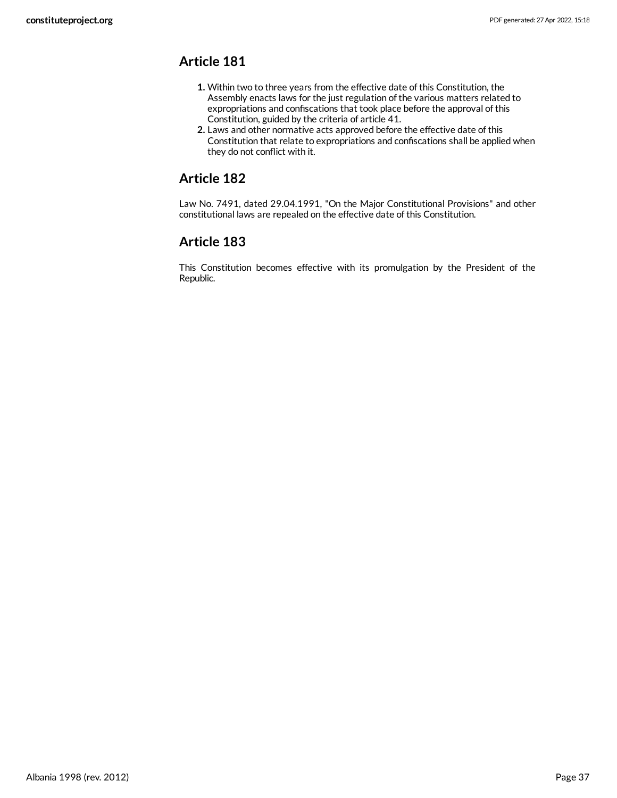- <span id="page-36-0"></span>**1.** Within two to three years from the effective date of this Constitution, the Assembly enacts laws for the just regulation of the various matters related to expropriations and confiscations that took place before the approval of this Constitution, guided by the criteria of article 41.
- **2.** Laws and other normative acts approved before the effective date of this Constitution that relate to expropriations and confiscations shall be applied when they do not conflict with it.

## <span id="page-36-1"></span>**Article 182**

Law No. 7491, dated 29.04.1991, "On the Major Constitutional Provisions" and other constitutional laws are repealed on the effective date of this Constitution.

## <span id="page-36-2"></span>**Article 183**

This Constitution becomes effective with its promulgation by the President of the Republic.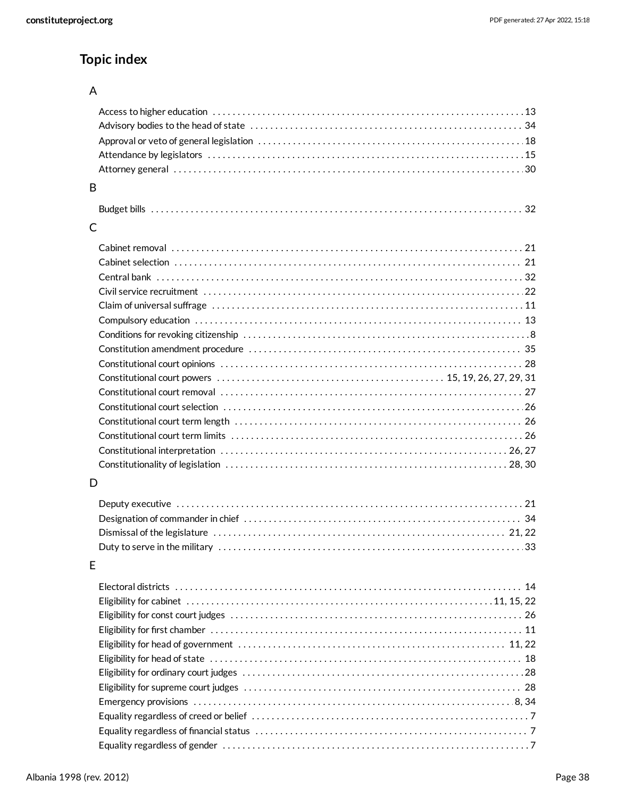## **Topic index**

#### A

| B |  |
|---|--|
|   |  |
| C |  |
|   |  |
|   |  |
|   |  |
|   |  |
|   |  |
|   |  |
|   |  |
|   |  |
|   |  |
|   |  |
|   |  |
|   |  |
|   |  |
|   |  |
|   |  |
|   |  |
| D |  |
|   |  |
|   |  |
|   |  |
|   |  |
| Е |  |
|   |  |
|   |  |
|   |  |
|   |  |
|   |  |
|   |  |
|   |  |
|   |  |
|   |  |
|   |  |
|   |  |
|   |  |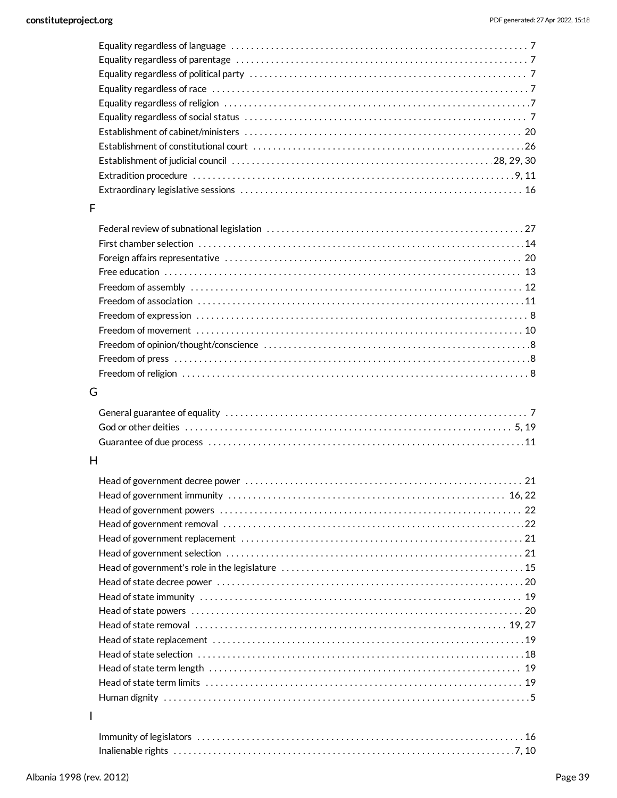#### F

#### G

#### H

I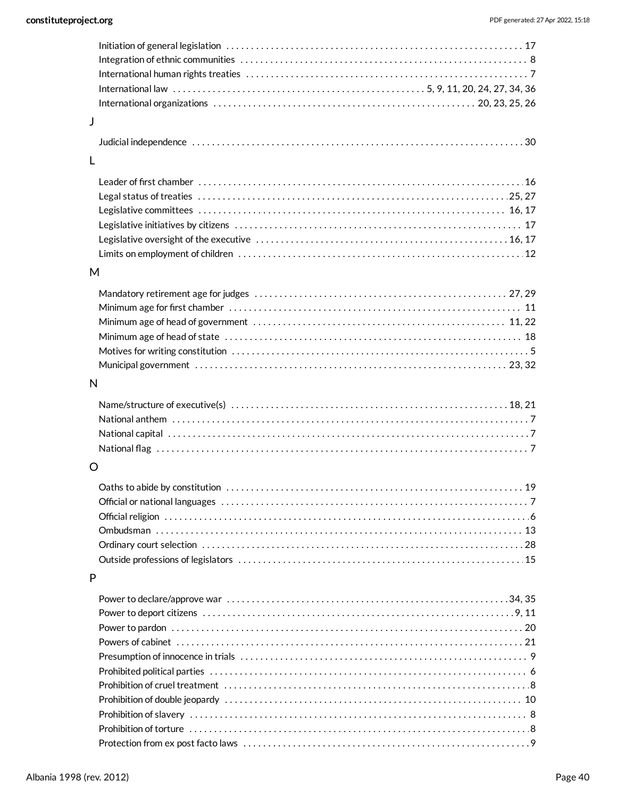| J |  |
|---|--|
|   |  |
| L |  |
|   |  |
|   |  |
|   |  |
|   |  |
|   |  |
|   |  |
|   |  |
| M |  |
|   |  |
|   |  |
|   |  |
|   |  |
|   |  |
|   |  |
|   |  |
| N |  |
|   |  |
|   |  |
|   |  |
|   |  |
|   |  |
| O |  |
|   |  |
|   |  |
|   |  |
|   |  |
|   |  |
|   |  |
|   |  |
| P |  |
|   |  |
|   |  |
|   |  |
|   |  |
|   |  |
|   |  |
|   |  |
|   |  |
|   |  |
|   |  |
|   |  |
|   |  |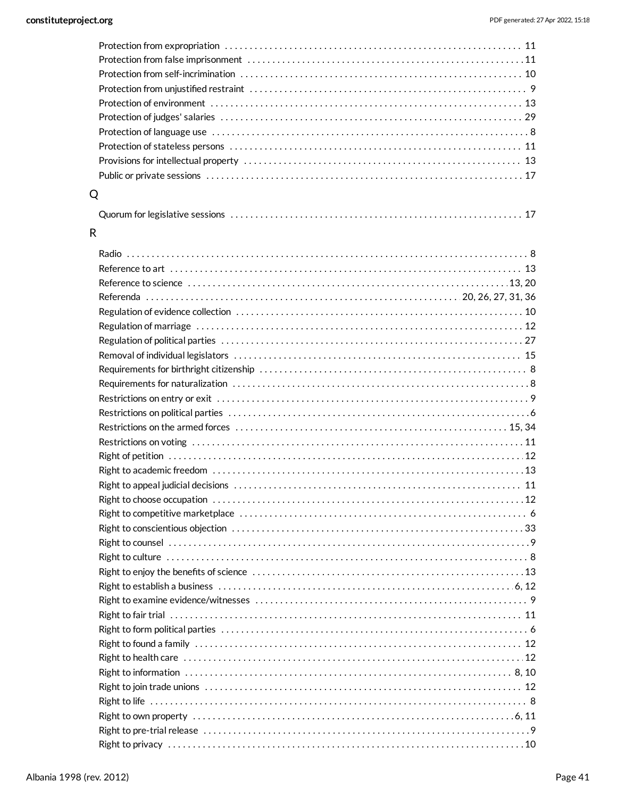| Q                                                                                                                                                                                                                              |  |
|--------------------------------------------------------------------------------------------------------------------------------------------------------------------------------------------------------------------------------|--|
|                                                                                                                                                                                                                                |  |
| R                                                                                                                                                                                                                              |  |
|                                                                                                                                                                                                                                |  |
|                                                                                                                                                                                                                                |  |
|                                                                                                                                                                                                                                |  |
| Reference to science contract contract and all the science of the science of the science of the science of the science of the science of the science of the science of the science of the science of the science of the scienc |  |
|                                                                                                                                                                                                                                |  |
|                                                                                                                                                                                                                                |  |
|                                                                                                                                                                                                                                |  |
|                                                                                                                                                                                                                                |  |
|                                                                                                                                                                                                                                |  |
|                                                                                                                                                                                                                                |  |
|                                                                                                                                                                                                                                |  |
|                                                                                                                                                                                                                                |  |
|                                                                                                                                                                                                                                |  |
|                                                                                                                                                                                                                                |  |
|                                                                                                                                                                                                                                |  |
|                                                                                                                                                                                                                                |  |
|                                                                                                                                                                                                                                |  |
|                                                                                                                                                                                                                                |  |
|                                                                                                                                                                                                                                |  |
|                                                                                                                                                                                                                                |  |
|                                                                                                                                                                                                                                |  |
|                                                                                                                                                                                                                                |  |
|                                                                                                                                                                                                                                |  |
|                                                                                                                                                                                                                                |  |
|                                                                                                                                                                                                                                |  |
|                                                                                                                                                                                                                                |  |
|                                                                                                                                                                                                                                |  |
|                                                                                                                                                                                                                                |  |
|                                                                                                                                                                                                                                |  |
|                                                                                                                                                                                                                                |  |
|                                                                                                                                                                                                                                |  |
|                                                                                                                                                                                                                                |  |
|                                                                                                                                                                                                                                |  |
|                                                                                                                                                                                                                                |  |
|                                                                                                                                                                                                                                |  |
| Right to privacy …………………………………………………………………………………………10                                                                                                                                                                          |  |